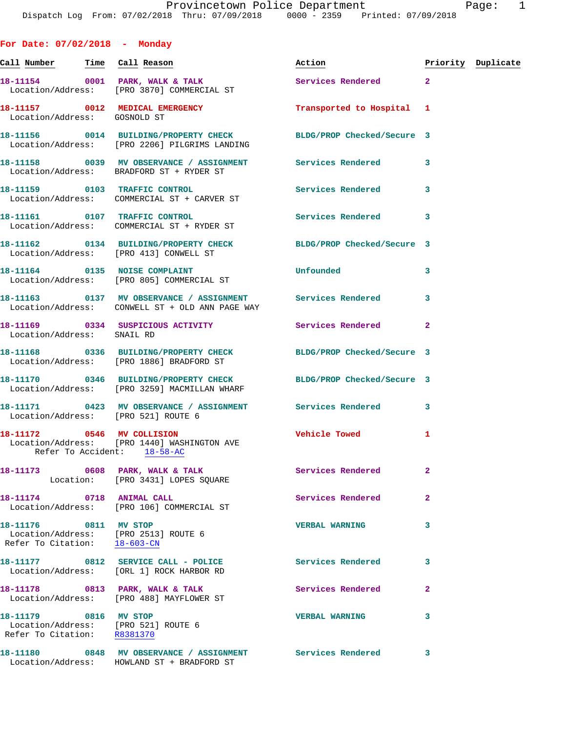| For Date: $07/02/2018$ - Monday                       |                                                                                                                   |                            |                    |  |
|-------------------------------------------------------|-------------------------------------------------------------------------------------------------------------------|----------------------------|--------------------|--|
|                                                       | <u>Call Number — Time Call Reason</u>                                                                             | Action                     | Priority Duplicate |  |
|                                                       | 18-11154 0001 PARK, WALK & TALK<br>Location/Address: [PRO 3870] COMMERCIAL ST                                     | Services Rendered 2        |                    |  |
| Location/Address: GOSNOLD ST                          | 18-11157 0012 MEDICAL EMERGENCY                                                                                   | Transported to Hospital 1  |                    |  |
|                                                       | 18-11156 0014 BUILDING/PROPERTY CHECK BLDG/PROP Checked/Secure 3<br>Location/Address: [PRO 2206] PILGRIMS LANDING |                            |                    |  |
|                                                       | 18-11158 0039 MV OBSERVANCE / ASSIGNMENT Services Rendered 3<br>Location/Address: BRADFORD ST + RYDER ST          |                            |                    |  |
|                                                       | 18-11159 0103 TRAFFIC CONTROL<br>Location/Address: COMMERCIAL ST + CARVER ST                                      | <b>Services Rendered</b>   | 3                  |  |
|                                                       | 18-11161 0107 TRAFFIC CONTROL<br>Location/Address: COMMERCIAL ST + RYDER ST                                       | Services Rendered 3        |                    |  |
|                                                       | 18-11162   0134   BUILDING/PROPERTY CHECK   BLDG/PROP Checked/Secure 3<br>Location/Address: [PRO 413] CONWELL ST  |                            |                    |  |
|                                                       | 18-11164 0135 NOISE COMPLAINT<br>Location/Address: [PRO 805] COMMERCIAL ST                                        | Unfounded                  | 3                  |  |
|                                                       | 18-11163 0137 MV OBSERVANCE / ASSIGNMENT Services Rendered<br>Location/Address: CONWELL ST + OLD ANN PAGE WAY     |                            | 3                  |  |
| Location/Address: SNAIL RD                            | 18-11169 0334 SUSPICIOUS ACTIVITY Services Rendered                                                               |                            | $\overline{2}$     |  |
|                                                       | 18-11168 0336 BUILDING/PROPERTY CHECK BLDG/PROP Checked/Secure 3<br>Location/Address: [PRO 1886] BRADFORD ST      |                            |                    |  |
|                                                       | 18-11170 0346 BUILDING/PROPERTY CHECK BLDG/PROP Checked/Secure 3<br>Location/Address: [PRO 3259] MACMILLAN WHARF  |                            |                    |  |
|                                                       | 18-11171 0423 MV OBSERVANCE / ASSIGNMENT Services Rendered 3<br>Location/Address: [PRO 521] ROUTE 6               |                            |                    |  |
|                                                       | 18-11172 0546 MV COLLISION<br>Location/Address: [PRO 1440] WASHINGTON AVE<br>Refer To Accident: 18-58-AC          | <b>Vehicle Towed State</b> | 1                  |  |
|                                                       | 18-11173 0608 PARK, WALK & TALK<br>Location: [PRO 3431] LOPES SQUARE                                              | <b>Services Rendered</b>   | $\overline{2}$     |  |
| 18-11174 0718 ANIMAL CALL                             | Location/Address: [PRO 106] COMMERCIAL ST                                                                         | <b>Services Rendered</b>   | $\overline{a}$     |  |
| 18-11176 0811 MV STOP<br>Refer To Citation: 18-603-CN | Location/Address: [PRO 2513] ROUTE 6                                                                              | <b>VERBAL WARNING</b>      | 3                  |  |
|                                                       | 18-11177 0812 SERVICE CALL - POLICE<br>Location/Address: [ORL 1] ROCK HARBOR RD                                   | <b>Services Rendered</b>   | 3                  |  |
|                                                       | 18-11178 0813 PARK, WALK & TALK<br>Location/Address: [PRO 488] MAYFLOWER ST                                       | Services Rendered          | $\overline{a}$     |  |
| 18-11179 0816 MV STOP                                 | Location/Address: [PRO 521] ROUTE 6<br>Refer To Citation: R8381370                                                | <b>VERBAL WARNING</b>      | 3                  |  |
|                                                       |                                                                                                                   |                            |                    |  |

**18-11180 0848 MV OBSERVANCE / ASSIGNMENT Services Rendered 3**  Location/Address: HOWLAND ST + BRADFORD ST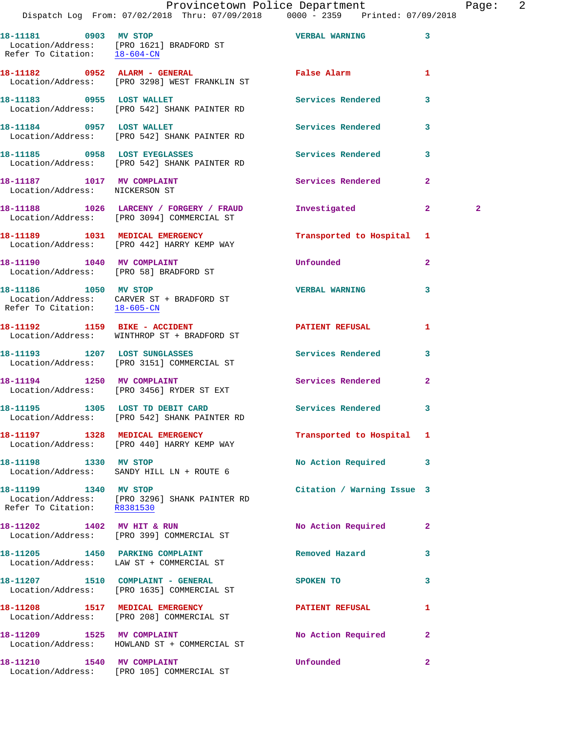| Provincetown Police Department |  |  | Paqe: |                                                |                                     |  |  |  |
|--------------------------------|--|--|-------|------------------------------------------------|-------------------------------------|--|--|--|
|                                |  |  |       | Dispatch Log From: 07/02/2018 Thru: 07/09/2018 | $0000 - 2359$ Printed: $07/09/2018$ |  |  |  |
|                                |  |  |       |                                                |                                     |  |  |  |

| 18-11181<br>0903<br>Refer To Citation: | MV STOP<br>Location/Address: [PRO 1621] BRADFORD ST<br>$18 - 604 - CN$ | <b>VERBAL WARNING</b> | 3 |
|----------------------------------------|------------------------------------------------------------------------|-----------------------|---|
| 0952<br>18–11182                       | ALARM - GENERAL<br>Location/Address: [PRO 3298] WEST FRANKLIN ST       | <b>False Alarm</b>    |   |
| 0955<br>18-11183                       | LOST WALLET<br>Location/Address: [PRO 542] SHANK PAINTER RD            | Services Rendered     | 3 |
| 18-11184<br>0957                       | LOST WALLET<br>Location/Address: [PRO 542] SHANK PAINTER RD            | Services Rendered     | 3 |
| 18-11185<br>0958                       | LOST EYEGLASSES<br>Location/Address: [PRO 542] SHANK PAINTER RD        | Services Rendered     | 3 |

18-11187 1017 MV COMPLAINT **18-11187** Services Rendered 2 Location/Address: NICKERSON ST

**18-11188 1026 LARCENY / FORGERY / FRAUD Investigated 2 2**  Location/Address: [PRO 3094] COMMERCIAL ST

**18-11190 1040 MV COMPLAINT Unfounded 2** 

**18-11186 1050 MV STOP VERBAL WARNING 3**  Location/Address: CARVER ST + BRADFORD ST Refer To Citation: 18-605-CN

18-11192 **1159 BIKE - ACCIDENT PATIENT REFUSAL** 1

**18-11193 1207 LOST SUNGLASSES Services Rendered 3** 

Refer To Citation: R8381530

**18-11202 1402 MV HIT & RUN No Action Required 2** 

**18-11205 1450 PARKING COMPLAINT Removed Hazard 3** 

Location/Address: [PRO 208] COMMERCIAL ST

Location/Address: HOWLAND ST + COMMERCIAL ST

**18-11210 1540 MV COMPLAINT Unfounded 2**  Location/Address: [PRO 105] COMMERCIAL ST

**18-11189 1031 MEDICAL EMERGENCY Transported to Hospital 1**  Location/Address: [PRO 442] HARRY KEMP WAY

Location/Address: [PRO 58] BRADFORD ST

Location/Address: WINTHROP ST + BRADFORD ST

Location/Address: [PRO 3151] COMMERCIAL ST

18-11194 1250 MV COMPLAINT **18-11194** Services Rendered 2 Location/Address: [PRO 3456] RYDER ST EXT

**18-11195 1305 LOST TD DEBIT CARD Services Rendered 3**  Location/Address: [PRO 542] SHANK PAINTER RD

**18-11197 1328 MEDICAL EMERGENCY Transported to Hospital 1**  Location/Address: [PRO 440] HARRY KEMP WAY

18-11198 1330 MV STOP 1200 No Action Required 3 Location/Address: SANDY HILL LN + ROUTE 6

**18-11199 1340 MV STOP Citation / Warning Issue 3**  Location/Address: [PRO 3296] SHANK PAINTER RD

Location/Address: [PRO 399] COMMERCIAL ST

Location/Address: LAW ST + COMMERCIAL ST

18-11207 1510 COMPLAINT - GENERAL SPOKEN TO 3 Location/Address: [PRO 1635] COMMERCIAL ST

**18-11208 1517 MEDICAL EMERGENCY PATIENT REFUSAL 1** 

18-11209 1525 MV COMPLAINT **18-11209** No Action Required 2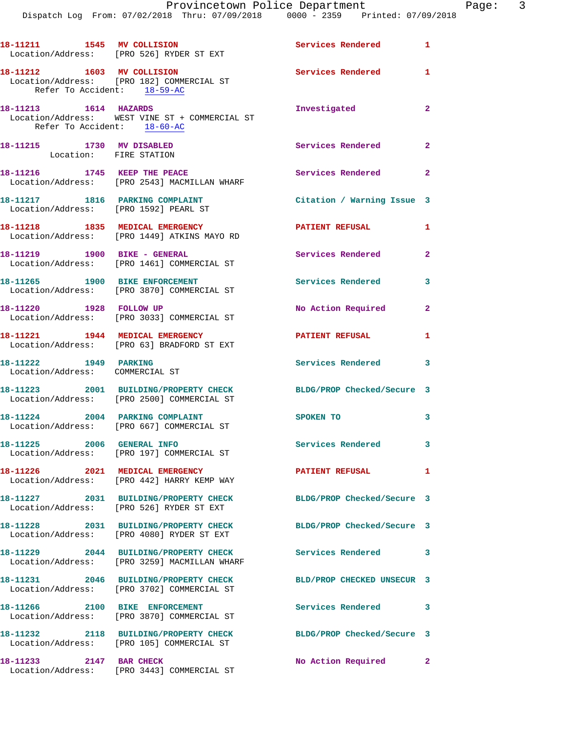Dispatch Log From: 07/02/2018 Thru: 07/09/2018 0000 - 2359 Printed: 07/09/2018

|                                                                          | 18-11211 1545 MV COLLISION<br>Location/Address: [PRO 526] RYDER ST EXT                | Services Rendered 1        |                            |
|--------------------------------------------------------------------------|---------------------------------------------------------------------------------------|----------------------------|----------------------------|
| 18-11212 1603 MV COLLISION<br>Refer To Accident: 18-59-AC                | Location/Address: [PRO 182] COMMERCIAL ST                                             | <b>Services Rendered</b> 1 |                            |
| 18-11213    1614    HAZARDS<br>Refer To Accident: $18-60-AC$             | Location/Address: WEST VINE ST + COMMERCIAL ST                                        | Investigated               | $\mathbf{2}$               |
| 18-11215 1730 MV DISABLED<br>Location: FIRE STATION                      |                                                                                       | Services Rendered 2        |                            |
| 18-11216 1745 KEEP THE PEACE                                             | Location/Address: [PRO 2543] MACMILLAN WHARF                                          | Services Rendered 2        |                            |
| 18-11217 1816 PARKING COMPLAINT<br>Location/Address: [PRO 1592] PEARL ST |                                                                                       | Citation / Warning Issue 3 |                            |
|                                                                          | 18-11218 1835 MEDICAL EMERGENCY<br>Location/Address: [PRO 1449] ATKINS MAYO RD        | <b>PATIENT REFUSAL</b>     | $\mathbf{1}$               |
|                                                                          | 18-11219 1900 BIKE - GENERAL<br>Location/Address: [PRO 1461] COMMERCIAL ST            | Services Rendered          | $\mathbf{2}$               |
| 18-11265 1900 BIKE ENFORCEMENT                                           | Location/Address: [PRO 3870] COMMERCIAL ST                                            | Services Rendered          | 3                          |
| 18-11220 1928 FOLLOW UP                                                  | Location/Address: [PRO 3033] COMMERCIAL ST                                            | No Action Required         | $\mathbf{2}$               |
| 18-11221 1944 MEDICAL EMERGENCY                                          | Location/Address: [PRO 63] BRADFORD ST EXT                                            | <b>PATIENT REFUSAL</b>     | $\mathbf{1}$               |
| 18-11222 1949 PARKING<br>Location/Address: COMMERCIAL ST                 |                                                                                       | Services Rendered 3        |                            |
|                                                                          | 18-11223 2001 BUILDING/PROPERTY CHECK<br>Location/Address: [PRO 2500] COMMERCIAL ST   | BLDG/PROP Checked/Secure 3 |                            |
|                                                                          | 18-11224 2004 PARKING COMPLAINT<br>Location/Address: [PRO 667] COMMERCIAL ST          | SPOKEN TO                  | $\overline{\phantom{a}}$ 3 |
| 18-11225 2006 GENERAL INFO                                               | Location/Address: [PRO 197] COMMERCIAL ST                                             | Services Rendered 3        |                            |
|                                                                          | 18-11226 2021 MEDICAL EMERGENCY<br>Location/Address: [PRO 442] HARRY KEMP WAY         | PATIENT REFUSAL            | 1                          |
|                                                                          | 18-11227 2031 BUILDING/PROPERTY CHECK<br>Location/Address: [PRO 526] RYDER ST EXT     | BLDG/PROP Checked/Secure 3 |                            |
|                                                                          | 18-11228 2031 BUILDING/PROPERTY CHECK<br>Location/Address: [PRO 4080] RYDER ST EXT    | BLDG/PROP Checked/Secure 3 |                            |
|                                                                          | 18-11229 2044 BUILDING/PROPERTY CHECK<br>Location/Address: [PRO 3259] MACMILLAN WHARF | Services Rendered          | 3                          |
|                                                                          | 18-11231 2046 BUILDING/PROPERTY CHECK<br>Location/Address: [PRO 3702] COMMERCIAL ST   | BLD/PROP CHECKED UNSECUR 3 |                            |
|                                                                          | 18-11266 2100 BIKE ENFORCEMENT<br>Location/Address: [PRO 3870] COMMERCIAL ST          | <b>Services Rendered</b>   | 3                          |
|                                                                          | 18-11232 2118 BUILDING/PROPERTY CHECK<br>Location/Address: [PRO 105] COMMERCIAL ST    | BLDG/PROP Checked/Secure 3 |                            |
| 18-11233 2147 BAR CHECK                                                  | Location/Address: [PRO 3443] COMMERCIAL ST                                            | No Action Required 2       |                            |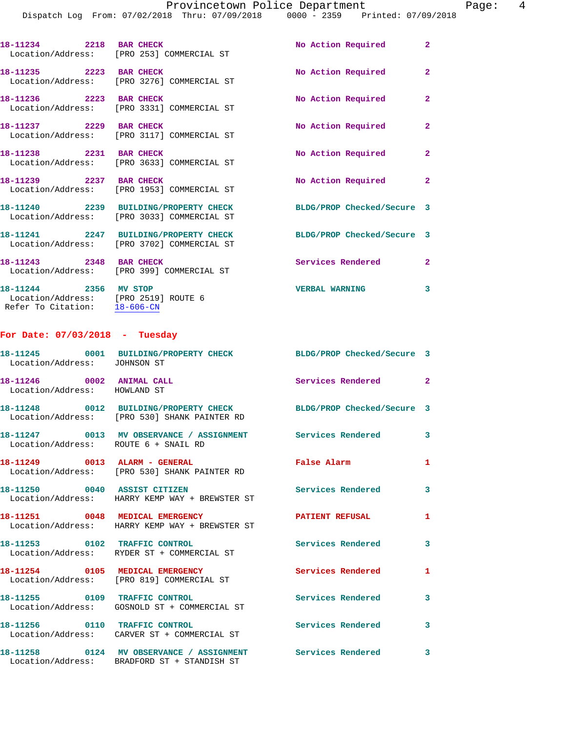Dispatch Log From: 07/02/2018 Thru: 07/09/2018 0000 - 2359 Printed: 07/09/2018

| 18-11234 2218 BAR CHECK                      | Location/Address: [PRO 253] COMMERCIAL ST                         | No Action Required         | $\overline{2}$ |
|----------------------------------------------|-------------------------------------------------------------------|----------------------------|----------------|
| 18-11235 2223 BAR CHECK<br>Location/Address: | [PRO 3276] COMMERCIAL ST                                          | No Action Required         | $\overline{2}$ |
| 18-11236 2223 BAR CHECK<br>Location/Address: | [PRO 3331] COMMERCIAL ST                                          | No Action Required         | $\overline{2}$ |
| 18-11237 2229 BAR CHECK<br>Location/Address: | [PRO 3117] COMMERCIAL ST                                          | No Action Required         | $\overline{2}$ |
| 18-11238 2231 BAR CHECK<br>Location/Address: | [PRO 3633] COMMERCIAL ST                                          | No Action Required         | $\overline{2}$ |
| 18-11239 2237 BAR CHECK<br>Location/Address: | [PRO 1953] COMMERCIAL ST                                          | No Action Required         | $\overline{2}$ |
| Location/Address:                            | 18-11240 2239 BUILDING/PROPERTY CHECK<br>[PRO 3033] COMMERCIAL ST | BLDG/PROP Checked/Secure 3 |                |
| Location/Address:                            | 18-11241 2247 BUILDING/PROPERTY CHECK<br>[PRO 3702] COMMERCIAL ST | BLDG/PROP Checked/Secure 3 |                |
| 18-11243 2348 BAR CHECK<br>Location/Address: | [PRO 399] COMMERCIAL ST                                           | Services Rendered          | $\overline{2}$ |

**18-11244 2356 MV STOP VERBAL WARNING 3**  Location/Address: [PRO 2519] ROUTE 6 Refer To Citation: 18-606-CN

## **For Date: 07/03/2018 - Tuesday**

| Location/Address: JOHNSON ST                              | 18-11245 0001 BUILDING/PROPERTY CHECK BLDG/PROP Checked/Secure 3                                                 |                          |                         |
|-----------------------------------------------------------|------------------------------------------------------------------------------------------------------------------|--------------------------|-------------------------|
| 18-11246 0002 ANIMAL CALL<br>Location/Address: HOWLAND ST |                                                                                                                  | Services Rendered 2      |                         |
|                                                           | 18-11248 0012 BUILDING/PROPERTY CHECK BLDG/PROP Checked/Secure 3<br>Location/Address: [PRO 530] SHANK PAINTER RD |                          |                         |
| Location/Address: ROUTE 6 + SNAIL RD                      |                                                                                                                  |                          | $\mathbf{3}$            |
|                                                           | 18-11249 0013 ALARM - GENERAL<br>Location/Address: [PRO 530] SHANK PAINTER RD                                    | False Alarm              | $\mathbf{1}$            |
| 18-11250 0040 ASSIST CITIZEN                              | Location/Address: HARRY KEMP WAY + BREWSTER ST                                                                   | <b>Services Rendered</b> | 3                       |
| 18-11251 0048 MEDICAL EMERGENCY                           | Location/Address: HARRY KEMP WAY + BREWSTER ST                                                                   | <b>PATIENT REFUSAL</b>   | $\mathbf{1}$            |
|                                                           | 18-11253 0102 TRAFFIC CONTROL<br>Location/Address: RYDER ST + COMMERCIAL ST                                      | Services Rendered        | $\mathbf{3}$            |
|                                                           | 18-11254 0105 MEDICAL EMERGENCY<br>Location/Address: [PRO 819] COMMERCIAL ST                                     | Services Rendered        | $\mathbf{1}$            |
|                                                           | 18-11255 0109 TRAFFIC CONTROL<br>Location/Address: GOSNOLD ST + COMMERCIAL ST                                    | Services Rendered        | $\mathbf{3}$            |
| 18-11256 0110 TRAFFIC CONTROL                             | Location/Address: CARVER ST + COMMERCIAL ST                                                                      | Services Rendered        | $\mathbf{3}$            |
|                                                           | 18-11258 0124 MV OBSERVANCE / ASSIGNMENT<br>Location/Address: BRADFORD ST + STANDISH ST                          | <b>Services Rendered</b> | $\overline{\mathbf{3}}$ |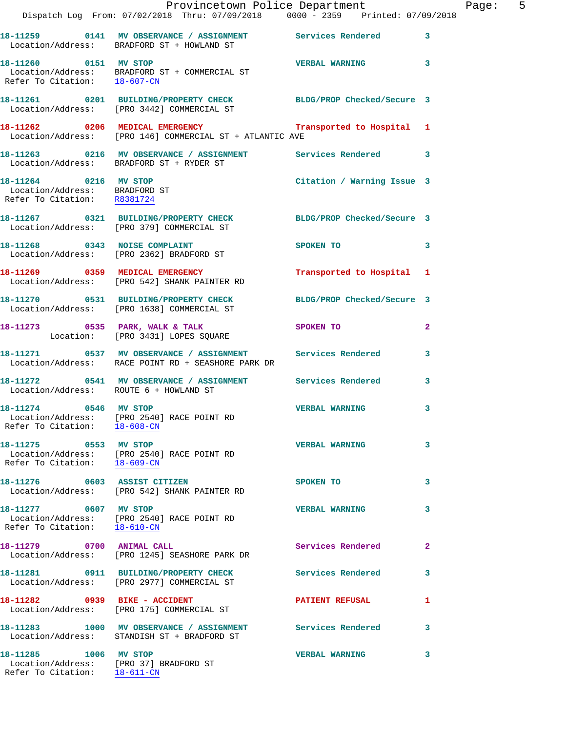|                                                                                                 | Dispatch Log From: 07/02/2018 Thru: 07/09/2018   0000 - 2359   Printed: 07/09/2018                                                             | Provincetown Police Department |              | Page: 5 |  |
|-------------------------------------------------------------------------------------------------|------------------------------------------------------------------------------------------------------------------------------------------------|--------------------------------|--------------|---------|--|
|                                                                                                 | 18-11259 0141 MV OBSERVANCE / ASSIGNMENT Services Rendered 3<br>Location/Address: BRADFORD ST + HOWLAND ST                                     |                                |              |         |  |
| 18-11260 0151 MV STOP                                                                           | Location/Address: BRADFORD ST + COMMERCIAL ST<br>Refer To Citation: 18-607-CN                                                                  | <b>VERBAL WARNING</b> 3        |              |         |  |
|                                                                                                 | 18-11261 0201 BUILDING/PROPERTY CHECK BLDG/PROP Checked/Secure 3<br>Location/Address: [PRO 3442] COMMERCIAL ST                                 |                                |              |         |  |
|                                                                                                 | 18-11262 0206 MEDICAL EMERGENCY <b>12 Contains the Service Contract Contains</b> 1<br>Location/Address: [PRO 146] COMMERCIAL ST + ATLANTIC AVE |                                |              |         |  |
|                                                                                                 | 18-11263 0216 MV OBSERVANCE / ASSIGNMENT Services Rendered 3<br>Location/Address: BRADFORD ST + RYDER ST                                       |                                |              |         |  |
| 18-11264 0216 MV STOP<br>Location/Address: BRADFORD ST<br>Refer To Citation: R8381724           |                                                                                                                                                | Citation / Warning Issue 3     |              |         |  |
|                                                                                                 | 18-11267 0321 BUILDING/PROPERTY CHECK BLDG/PROP Checked/Secure 3<br>Location/Address: [PRO 379] COMMERCIAL ST                                  |                                |              |         |  |
|                                                                                                 | 18-11268 0343 NOISE COMPLAINT<br>Location/Address: [PRO 2362] BRADFORD ST                                                                      | SPOKEN TO                      | 3            |         |  |
|                                                                                                 | 18-11269 0359 MEDICAL EMERGENCY<br>Location/Address: [PRO 542] SHANK PAINTER RD                                                                | Transported to Hospital 1      |              |         |  |
|                                                                                                 | 18-11270 0531 BUILDING/PROPERTY CHECK BLDG/PROP Checked/Secure 3<br>Location/Address: [PRO 1638] COMMERCIAL ST                                 |                                |              |         |  |
|                                                                                                 | 18-11273 0535 PARK, WALK & TALK<br>Location: [PRO 3431] LOPES SQUARE                                                                           | SPOKEN TO                      | 2            |         |  |
|                                                                                                 | 18-11271 0537 MV OBSERVANCE / ASSIGNMENT Services Rendered 3<br>Location/Address: RACE POINT RD + SEASHORE PARK DR                             |                                |              |         |  |
| Location/Address: ROUTE 6 + HOWLAND ST                                                          | 18-11272 0541 MV OBSERVANCE / ASSIGNMENT Services Rendered                                                                                     |                                | 3            |         |  |
| 18-11274 0546 MV STOP<br>Refer To Citation: 18-608-CN                                           | Location/Address: [PRO 2540] RACE POINT RD                                                                                                     | <b>VERBAL WARNING</b>          | $\mathbf{3}$ |         |  |
| 18-11275 0553 MV STOP<br>Refer To Citation: 18-609-CN                                           | Location/Address: [PRO 2540] RACE POINT RD                                                                                                     | <b>VERBAL WARNING</b>          | 3            |         |  |
|                                                                                                 | 18-11276 0603 ASSIST CITIZEN<br>Location/Address: [PRO 542] SHANK PAINTER RD                                                                   | SPOKEN TO                      | 3            |         |  |
| 18-11277 0607 MV STOP<br>Refer To Citation: 18-610-CN                                           | Location/Address: [PRO 2540] RACE POINT RD                                                                                                     | <b>VERBAL WARNING</b>          | 3            |         |  |
| 18-11279 0700 ANIMAL CALL                                                                       | Location/Address: [PRO 1245] SEASHORE PARK DR                                                                                                  | Services Rendered              | $\mathbf{2}$ |         |  |
|                                                                                                 | 18-11281 0911 BUILDING/PROPERTY CHECK<br>Location/Address: [PRO 2977] COMMERCIAL ST                                                            | Services Rendered              | 3            |         |  |
| 18-11282 0939 BIKE - ACCIDENT                                                                   | Location/Address: [PRO 175] COMMERCIAL ST                                                                                                      | <b>PATIENT REFUSAL</b>         | 1            |         |  |
|                                                                                                 | 18-11283 1000 MV OBSERVANCE / ASSIGNMENT Services Rendered<br>Location/Address: STANDISH ST + BRADFORD ST                                      |                                | 3            |         |  |
| 18-11285 1006 MV STOP<br>Location/Address: [PRO 37] BRADFORD ST<br>Refer To Citation: 18-611-CN |                                                                                                                                                | <b>VERBAL WARNING</b>          | 3            |         |  |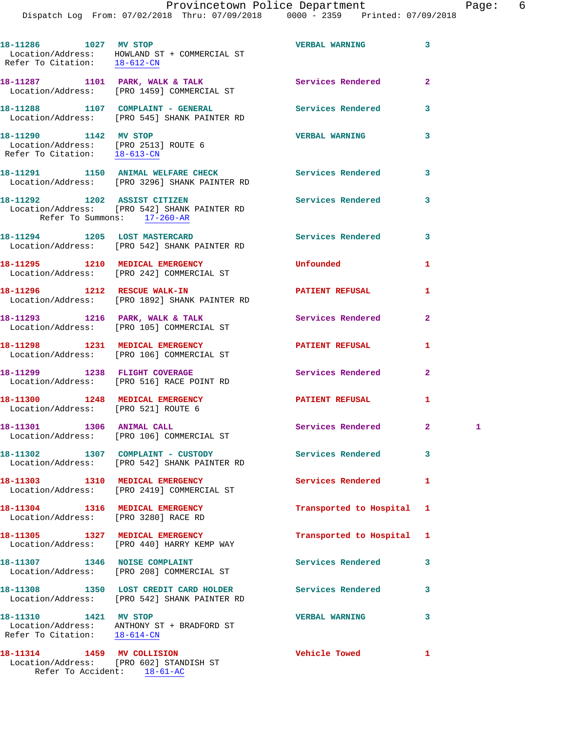| Provincetown Police Department                 |  |  |  | Page: | - 6                             |  |  |  |  |
|------------------------------------------------|--|--|--|-------|---------------------------------|--|--|--|--|
| Dispatch Log From: 07/02/2018 Thru: 07/09/2018 |  |  |  |       | 0000 - 2359 Printed: 07/09/2018 |  |  |  |  |

|                                                                                               | 18-11286 1027 MV STOP<br>Location/Address: HOWLAND ST + COMMERCIAL ST<br>Refer To Citation: $\frac{18-612-CN}{18}$ | <b>VERBAL WARNING</b>    | 3              |   |
|-----------------------------------------------------------------------------------------------|--------------------------------------------------------------------------------------------------------------------|--------------------------|----------------|---|
|                                                                                               | 18-11287 1101 PARK, WALK & TALK<br>Location/Address: [PRO 1459] COMMERCIAL ST                                      | <b>Services Rendered</b> | $\overline{a}$ |   |
|                                                                                               | 18-11288 1107 COMPLAINT - GENERAL<br>Location/Address: [PRO 545] SHANK PAINTER RD                                  | <b>Services Rendered</b> | 3              |   |
| 18-11290 1142 MV STOP<br>Location/Address: [PRO 2513] ROUTE 6<br>Refer To Citation: 18-613-CN |                                                                                                                    | <b>VERBAL WARNING</b>    | 3              |   |
|                                                                                               | 18-11291 1150 ANIMAL WELFARE CHECK 1990 Services Rendered<br>Location/Address: [PRO 3296] SHANK PAINTER RD         |                          | 3              |   |
| Refer To Summons: 17-260-AR                                                                   | 18-11292 1202 ASSIST CITIZEN<br>Location/Address: [PRO 542] SHANK PAINTER RD                                       | <b>Services Rendered</b> | 3              |   |
|                                                                                               | 18-11294 1205 LOST MASTERCARD<br>Location/Address: [PRO 542] SHANK PAINTER RD                                      | <b>Services Rendered</b> | 3              |   |
|                                                                                               | 18-11295 1210 MEDICAL EMERGENCY<br>Location/Address: [PRO 242] COMMERCIAL ST                                       | Unfounded                | 1              |   |
|                                                                                               | 18-11296 1212 RESCUE WALK-IN<br>Location/Address: [PRO 1892] SHANK PAINTER RD                                      | <b>PATIENT REFUSAL</b>   | 1              |   |
|                                                                                               | 18-11293 1216 PARK, WALK & TALK<br>Location/Address: [PRO 105] COMMERCIAL ST                                       | <b>Services Rendered</b> | $\overline{2}$ |   |
|                                                                                               | 18-11298 1231 MEDICAL EMERGENCY<br>Location/Address: [PRO 106] COMMERCIAL ST                                       | <b>PATIENT REFUSAL</b>   | 1              |   |
|                                                                                               | 18-11299 1238 FLIGHT COVERAGE<br>Location/Address: [PRO 516] RACE POINT RD                                         | <b>Services Rendered</b> | $\overline{a}$ |   |
| Location/Address: [PRO 521] ROUTE 6                                                           | 18-11300 1248 MEDICAL EMERGENCY                                                                                    | PATIENT REFUSAL          | 1              |   |
|                                                                                               | 18-11301 1306 ANIMAL CALL<br>Location/Address: [PRO 106] COMMERCIAL ST                                             | Services Rendered        | 2 <sup>1</sup> | 1 |
|                                                                                               | 18-11302 1307 COMPLAINT - CUSTODY<br>Location/Address: [PRO 542] SHANK PAINTER RD                                  | Services Rendered        | 3              |   |
|                                                                                               | 18-11303 1310 MEDICAL EMERGENCY<br>Location/Address: [PRO 2419] COMMERCIAL ST                                      | <b>Services Rendered</b> | 1              |   |
| Location/Address: [PRO 3280] RACE RD                                                          | 18-11304 1316 MEDICAL EMERGENCY                                                                                    | Transported to Hospital  | 1              |   |
|                                                                                               | 18-11305 1327 MEDICAL EMERGENCY<br>Location/Address: [PRO 440] HARRY KEMP WAY                                      | Transported to Hospital  | 1              |   |
| 18-11307 1346 NOISE COMPLAINT                                                                 | Location/Address: [PRO 208] COMMERCIAL ST                                                                          | Services Rendered        | 3              |   |
|                                                                                               | 18-11308 1350 LOST CREDIT CARD HOLDER<br>Location/Address: [PRO 542] SHANK PAINTER RD                              | Services Rendered        | 3              |   |
| 18-11310 1421 MV STOP<br>Refer To Citation: 18-614-CN                                         | Location/Address: ANTHONY ST + BRADFORD ST                                                                         | <b>VERBAL WARNING</b>    | 3              |   |
| 18-11314 1459 MV COLLISION                                                                    | Location/Address: [PRO 602] STANDISH ST                                                                            | <b>Vehicle Towed</b>     | 1              |   |

Refer To Accident: 18-61-AC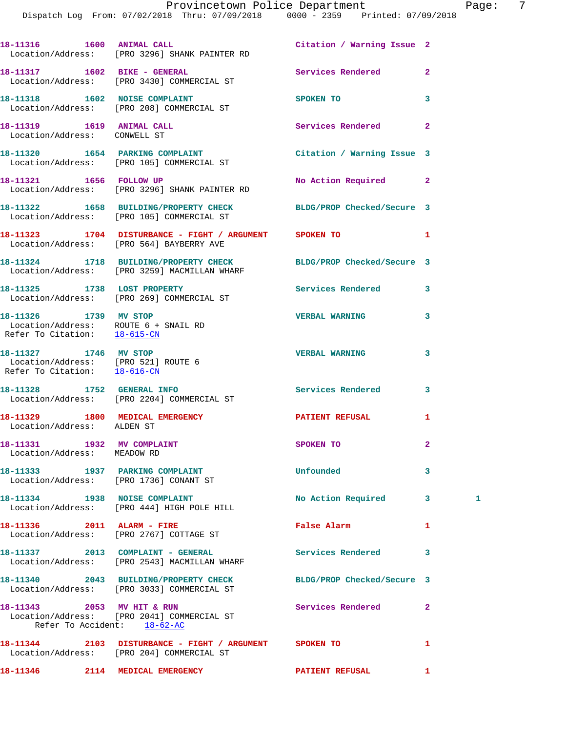| 18-11316   1600   ANIMAL CALL                                                                 | Location/Address: [PRO 3296] SHANK PAINTER RD                                                                 | Citation / Warning Issue 2 |                |   |
|-----------------------------------------------------------------------------------------------|---------------------------------------------------------------------------------------------------------------|----------------------------|----------------|---|
|                                                                                               | 18-11317    1602 BIKE - GENERAL<br>Location/Address: [PRO 3430] COMMERCIAL ST                                 | Services Rendered          | $\overline{a}$ |   |
|                                                                                               | 18-11318 1602 NOISE COMPLAINT<br>Location/Address: [PRO 208] COMMERCIAL ST                                    | SPOKEN TO                  | 3              |   |
| Location/Address: CONWELL ST                                                                  |                                                                                                               | Services Rendered          | $\overline{2}$ |   |
|                                                                                               | 18-11320 1654 PARKING COMPLAINT<br>Location/Address: [PRO 105] COMMERCIAL ST                                  | Citation / Warning Issue 3 |                |   |
| 18-11321 1656 FOLLOW UP                                                                       | Location/Address: [PRO 3296] SHANK PAINTER RD                                                                 | No Action Required         | $\mathbf{2}$   |   |
|                                                                                               | 18-11322 1658 BUILDING/PROPERTY CHECK BLDG/PROP Checked/Secure 3<br>Location/Address: [PRO 105] COMMERCIAL ST |                            |                |   |
|                                                                                               | 18-11323 1704 DISTURBANCE - FIGHT / ARGUMENT SPOKEN TO<br>Location/Address: [PRO 564] BAYBERRY AVE            |                            | 1              |   |
|                                                                                               | 18-11324 1718 BUILDING/PROPERTY CHECK<br>Location/Address: [PRO 3259] MACMILLAN WHARF                         | BLDG/PROP Checked/Secure 3 |                |   |
|                                                                                               | 18-11325 1738 LOST PROPERTY<br>Location/Address: [PRO 269] COMMERCIAL ST                                      | <b>Services Rendered</b>   | 3              |   |
| 18-11326 1739 MV STOP<br>Location/Address: ROUTE 6 + SNAIL RD<br>Refer To Citation: 18-615-CN |                                                                                                               | <b>VERBAL WARNING</b>      | 3              |   |
| 18-11327 1746 MV STOP<br>Location/Address: [PRO 521] ROUTE 6<br>Refer To Citation: 18-616-CN  |                                                                                                               | <b>VERBAL WARNING</b>      | 3              |   |
|                                                                                               | 18-11328 1752 GENERAL INFO<br>Location/Address: [PRO 2204] COMMERCIAL ST                                      | Services Rendered          | 3              |   |
| Location/Address: ALDEN ST                                                                    | 18-11329 1800 MEDICAL EMERGENCY <b>NEW PATIENT REFUSAL</b>                                                    |                            | 1              |   |
| 18-11331 1932 MV COMPLAINT<br>Location/Address: MEADOW RD                                     |                                                                                                               | SPOKEN TO                  | $\overline{a}$ |   |
|                                                                                               | 18-11333 1937 PARKING COMPLAINT<br>Location/Address: [PRO 1736] CONANT ST                                     | Unfounded                  | 3              |   |
|                                                                                               | 18-11334 1938 NOISE COMPLAINT<br>Location/Address: [PRO 444] HIGH POLE HILL                                   | No Action Required         | 3              | 1 |
|                                                                                               | 18-11336 2011 ALARM - FIRE<br>Location/Address: [PRO 2767] COTTAGE ST                                         | False Alarm                | 1              |   |
|                                                                                               | 18-11337 2013 COMPLAINT - GENERAL<br>Location/Address: [PRO 2543] MACMILLAN WHARF                             | Services Rendered          | 3              |   |
|                                                                                               | 18-11340 2043 BUILDING/PROPERTY CHECK<br>Location/Address: [PRO 3033] COMMERCIAL ST                           | BLDG/PROP Checked/Secure 3 |                |   |
| 18-11343 2053 MV HIT & RUN<br>Refer To Accident: 18-62-AC                                     | Location/Address: [PRO 2041] COMMERCIAL ST                                                                    | Services Rendered          | $\overline{2}$ |   |
|                                                                                               | 18-11344 2103 DISTURBANCE - FIGHT / ARGUMENT SPOKEN TO<br>Location/Address: [PRO 204] COMMERCIAL ST           |                            | 1              |   |
|                                                                                               | 18-11346 2114 MEDICAL EMERGENCY                                                                               | PATIENT REFUSAL            | $\mathbf{1}$   |   |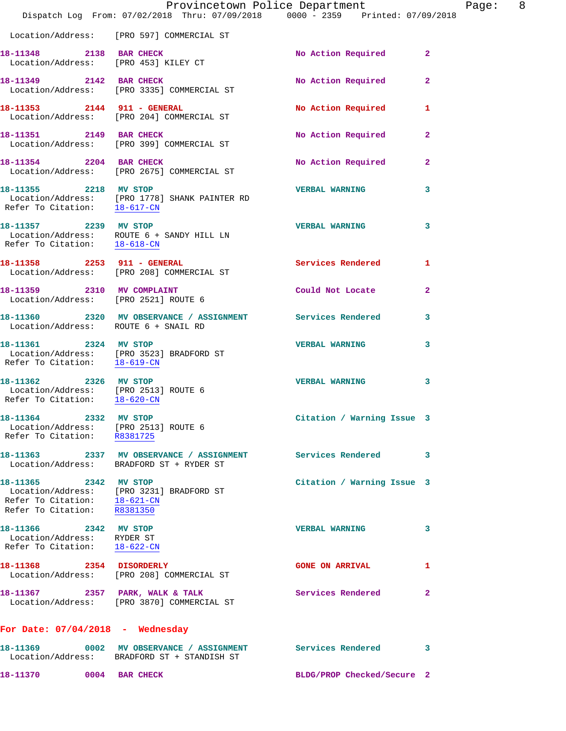|                                                                                                            | Dispatch Log From: 07/02/2018 Thru: 07/09/2018 0000 - 2359 Printed: 07/09/2018                         | Provincetown Police Department | 8 <sup>8</sup><br>Page: |
|------------------------------------------------------------------------------------------------------------|--------------------------------------------------------------------------------------------------------|--------------------------------|-------------------------|
|                                                                                                            | Location/Address: [PRO 597] COMMERCIAL ST                                                              |                                |                         |
| 18-11348 2138 BAR CHECK                                                                                    | Location/Address: [PRO 453] KILEY CT                                                                   | No Action Required             | $\mathbf{2}$            |
|                                                                                                            | 18-11349 2142 BAR CHECK<br>Location/Address: [PRO 3335] COMMERCIAL ST                                  | No Action Required             | $\mathbf{2}$            |
| 18-11353 2144 911 - GENERAL                                                                                | Location/Address: [PRO 204] COMMERCIAL ST                                                              | No Action Required             | 1                       |
|                                                                                                            | 18-11351 2149 BAR CHECK<br>Location/Address: [PRO 399] COMMERCIAL ST                                   | No Action Required             | $\mathbf{2}$            |
| 18-11354 2204 BAR CHECK                                                                                    | Location/Address: [PRO 2675] COMMERCIAL ST                                                             | No Action Required             | $\mathbf{2}$            |
|                                                                                                            | 18-11355 2218 MV STOP<br>Location/Address: [PRO 1778] SHANK PAINTER RD<br>Refer To Citation: 18-617-CM | <b>VERBAL WARNING</b>          | 3                       |
| 18-11357 2239 MV STOP                                                                                      | Location/Address: ROUTE 6 + SANDY HILL LN<br>Refer To Citation: $\frac{18-618-CN}{\sqrt{16}}$          | <b>VERBAL WARNING</b>          | 3                       |
|                                                                                                            | 18-11358 2253 911 - GENERAL<br>Location/Address: [PRO 208] COMMERCIAL ST                               | Services Rendered              | $\mathbf{1}$            |
|                                                                                                            | 18-11359 2310 MV COMPLAINT<br>Location/Address: [PRO 2521] ROUTE 6                                     | Could Not Locate               | $\overline{2}$          |
| Location/Address: ROUTE 6 + SNAIL RD                                                                       | 18-11360 2320 MV OBSERVANCE / ASSIGNMENT Services Rendered                                             |                                | 3                       |
|                                                                                                            | 18-11361 2324 MV STOP<br>Location/Address: [PRO 3523] BRADFORD ST<br>Refer To Citation: 18-619-CN      | <b>VERBAL WARNING</b>          | 3                       |
| 18-11362 2326 MV STOP<br>Location/Address: [PRO 2513] ROUTE 6<br>Refer To Citation: $\frac{18-620-CN}{\ }$ |                                                                                                        | <b>VERBAL WARNING</b>          | 3                       |
| 18-11364<br>2332 MV STOP<br>Location/Address: [PRO 2513] ROUTE 6<br>Refer To Citation: R8381725            |                                                                                                        | Citation / Warning Issue 3     |                         |
|                                                                                                            | 18-11363 2337 MV OBSERVANCE / ASSIGNMENT<br>Location/Address: BRADFORD ST + RYDER ST                   | Services Rendered              | 3                       |
| 18-11365 2342 MV STOP<br>Refer To Citation: 18-621-CN<br>Refer To Citation: R8381350                       | Location/Address: [PRO 3231] BRADFORD ST                                                               | Citation / Warning Issue 3     |                         |
| 18-11366 2342 MV STOP<br>Location/Address: RYDER ST<br>Refer To Citation: 18-622-CN                        |                                                                                                        | <b>VERBAL WARNING</b>          | 3                       |
| 18-11368 2354 DISORDERLY                                                                                   | Location/Address: [PRO 208] COMMERCIAL ST                                                              | <b>GONE ON ARRIVAL</b>         | 1                       |
|                                                                                                            | 18-11367 2357 PARK, WALK & TALK<br>Location/Address: [PRO 3870] COMMERCIAL ST                          | Services Rendered              | $\overline{2}$          |
| For Date: $07/04/2018$ - Wednesday                                                                         |                                                                                                        |                                |                         |
|                                                                                                            | Location/Address: BRADFORD ST + STANDISH ST                                                            | Services Rendered              | 3                       |

**18-11370 0004 BAR CHECK BLDG/PROP Checked/Secure 2**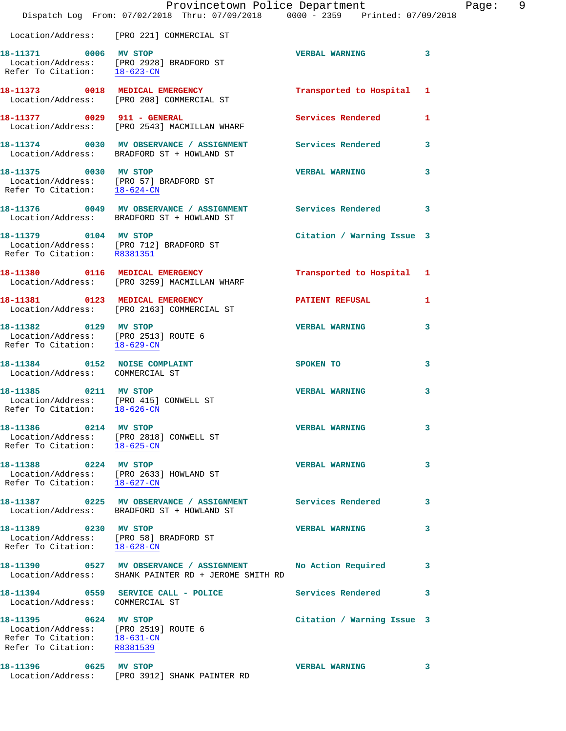|                                                                                  | Provincetown Police Department                                                                             |                            |   |
|----------------------------------------------------------------------------------|------------------------------------------------------------------------------------------------------------|----------------------------|---|
|                                                                                  | Dispatch Log From: 07/02/2018 Thru: 07/09/2018 0000 - 2359 Printed: 07/09/2018                             |                            |   |
|                                                                                  | Location/Address: [PRO 221] COMMERCIAL ST                                                                  |                            |   |
| 18-11371 0006 MV STOP                                                            |                                                                                                            | <b>VERBAL WARNING</b>      | 3 |
|                                                                                  | Location/Address: [PRO 2928] BRADFORD ST<br>Refer To Citation: $\frac{18-623-CM}{18}$                      |                            |   |
|                                                                                  |                                                                                                            |                            |   |
|                                                                                  | 18-11373 0018 MEDICAL EMERGENCY<br>Location/Address: [PRO 208] COMMERCIAL ST                               | Transported to Hospital    | 1 |
| 18-11377 0029 911 - GENERAL                                                      |                                                                                                            | Services Rendered          | 1 |
|                                                                                  | Location/Address: [PRO 2543] MACMILLAN WHARF                                                               |                            |   |
|                                                                                  |                                                                                                            |                            | 3 |
|                                                                                  | 18-11374 0030 MV OBSERVANCE / ASSIGNMENT Services Rendered<br>Location/Address: BRADFORD ST + HOWLAND ST   |                            |   |
| 18-11375 0030 MV STOP                                                            |                                                                                                            | <b>VERBAL WARNING</b>      | 3 |
| Refer To Citation: 18-624-CN                                                     | Location/Address: [PRO 57] BRADFORD ST                                                                     |                            |   |
|                                                                                  |                                                                                                            |                            |   |
|                                                                                  | 18-11376 0049 MV OBSERVANCE / ASSIGNMENT Services Rendered 3<br>Location/Address: BRADFORD ST + HOWLAND ST |                            |   |
| 18-11379 0104 MV STOP                                                            |                                                                                                            | Citation / Warning Issue 3 |   |
|                                                                                  | Location/Address: [PRO 712] BRADFORD ST<br>Refer To Citation: R8381351                                     |                            |   |
|                                                                                  |                                                                                                            |                            |   |
|                                                                                  | 18-11380 0116 MEDICAL EMERGENCY                                                                            | Transported to Hospital 1  |   |
|                                                                                  | Location/Address: [PRO 3259] MACMILLAN WHARF                                                               |                            |   |
|                                                                                  | 18-11381 0123 MEDICAL EMERGENCY<br>Location/Address: [PRO 2163] COMMERCIAL ST                              | <b>PATIENT REFUSAL</b>     | 1 |
| 18-11382 0129 MV STOP                                                            |                                                                                                            | <b>VERBAL WARNING</b>      |   |
| Location/Address: [PRO 2513] ROUTE 6                                             |                                                                                                            |                            | 3 |
| Refer To Citation: 18-629-CN                                                     |                                                                                                            |                            |   |
| 18-11384 0152 NOISE COMPLAINT                                                    |                                                                                                            | SPOKEN TO                  | 3 |
| Location/Address: COMMERCIAL ST                                                  |                                                                                                            |                            |   |
| 18-11385 0211 MV STOP                                                            |                                                                                                            | <b>VERBAL WARNING</b>      | 3 |
| Location/Address: [PRO 415] CONWELL ST<br>Refer To Citation: 18-626-CN           |                                                                                                            |                            |   |
| 18-11386 0214 MV STOP                                                            |                                                                                                            | <b>VERBAL WARNING</b>      | 3 |
|                                                                                  | Location/Address: [PRO 2818] CONWELL ST<br>Refer To Citation: 18-625-CN                                    |                            |   |
|                                                                                  |                                                                                                            |                            |   |
| 18-11388 0224 MV STOP                                                            | Location/Address: [PRO 2633] HOWLAND ST                                                                    | <b>VERBAL WARNING</b>      | 3 |
| Refer To Citation: 18-627-CN                                                     |                                                                                                            |                            |   |
|                                                                                  | 18-11387 0225 MV OBSERVANCE / ASSIGNMENT Services Rendered                                                 |                            | 3 |
|                                                                                  | Location/Address: BRADFORD ST + HOWLAND ST                                                                 |                            |   |
| 18-11389 0230 MV STOP                                                            |                                                                                                            | <b>VERBAL WARNING</b>      | 3 |
|                                                                                  | Location/Address: [PRO 58] BRADFORD ST<br>Refer To Citation: 18-628-CN                                     |                            |   |
|                                                                                  | 18-11390 0527 MV OBSERVANCE / ASSIGNMENT No Action Required                                                |                            | 3 |
|                                                                                  | Location/Address: SHANK PAINTER RD + JEROME SMITH RD                                                       |                            |   |
|                                                                                  | 18-11394 0559 SERVICE CALL - POLICE                                                                        | Services Rendered          | 3 |
| Location/Address: COMMERCIAL ST                                                  |                                                                                                            |                            |   |
| 18-11395 0624 MV STOP                                                            |                                                                                                            | Citation / Warning Issue 3 |   |
| Location/Address: [PRO 2519] ROUTE 6<br>Refer To Citation: $\frac{18-631-CN}{2}$ |                                                                                                            |                            |   |
| Refer To Citation: R8381539                                                      |                                                                                                            |                            |   |
| 18-11396 0625 MV STOP                                                            |                                                                                                            | <b>VERBAL WARNING</b>      | 3 |
|                                                                                  | Location/Address: [PRO 3912] SHANK PAINTER RD                                                              |                            |   |

Page: 9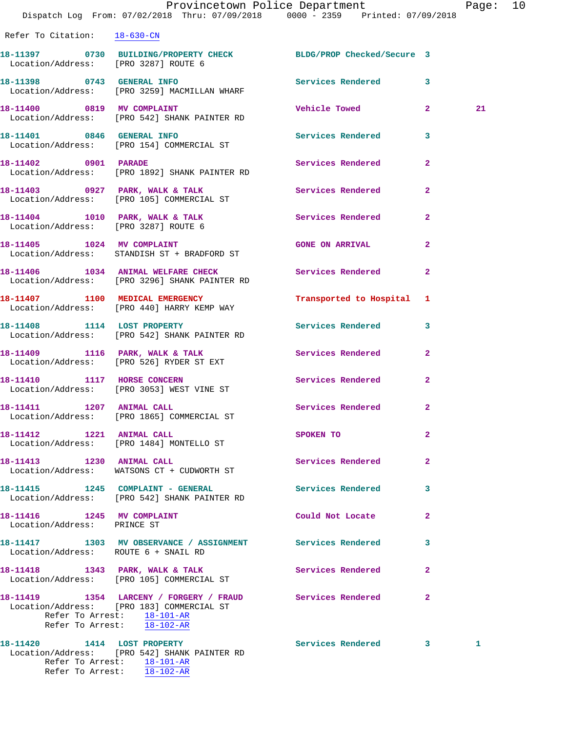|                                                             | Provincetown Police Department<br>Dispatch Log From: 07/02/2018 Thru: 07/09/2018 0000 - 2359 Printed: 07/09/2018                                                                   |                           |                | Page: 10 |  |
|-------------------------------------------------------------|------------------------------------------------------------------------------------------------------------------------------------------------------------------------------------|---------------------------|----------------|----------|--|
| Refer To Citation: 18-630-CN                                |                                                                                                                                                                                    |                           |                |          |  |
| Location/Address: [PRO 3287] ROUTE 6                        | 18-11397 0730 BUILDING/PROPERTY CHECK BLDG/PROP Checked/Secure 3                                                                                                                   |                           |                |          |  |
|                                                             | 18-11398 0743 GENERAL INFO<br>Location/Address: [PRO 3259] MACMILLAN WHARF                                                                                                         | Services Rendered 3       |                |          |  |
|                                                             | 18-11400 0819 MV COMPLAINT<br>Location/Address: [PRO 542] SHANK PAINTER RD                                                                                                         | Vehicle Towed 2           |                | 21       |  |
|                                                             | 18-11401 0846 GENERAL INFO<br>Location/Address: [PRO 154] COMMERCIAL ST                                                                                                            | Services Rendered 3       |                |          |  |
|                                                             | 18-11402 0901 PARADE<br>Location/Address: [PRO 1892] SHANK PAINTER RD                                                                                                              | Services Rendered         | $\mathbf{2}$   |          |  |
|                                                             | 18-11403 0927 PARK, WALK & TALK<br>Location/Address: [PRO 105] COMMERCIAL ST                                                                                                       | Services Rendered         | $\mathbf{2}$   |          |  |
|                                                             | 18-11404 1010 PARK, WALK & TALK<br>Location/Address: [PRO 3287] ROUTE 6                                                                                                            | Services Rendered         | $\mathbf{2}$   |          |  |
|                                                             | 18-11405 1024 MV COMPLAINT<br>Location/Address: STANDISH ST + BRADFORD ST                                                                                                          | <b>GONE ON ARRIVAL</b>    | $\mathbf{2}$   |          |  |
|                                                             | 18-11406 1034 ANIMAL WELFARE CHECK<br>Location/Address: [PRO 3296] SHANK PAINTER RD                                                                                                | Services Rendered         | $\overline{2}$ |          |  |
|                                                             | 18-11407 1100 MEDICAL EMERGENCY<br>Location/Address: [PRO 440] HARRY KEMP WAY                                                                                                      | Transported to Hospital 1 |                |          |  |
|                                                             | 18-11408 1114 LOST PROPERTY<br>Location/Address: [PRO 542] SHANK PAINTER RD                                                                                                        | Services Rendered 3       |                |          |  |
|                                                             | 18-11409 1116 PARK, WALK & TALK<br>Location/Address: [PRO 526] RYDER ST EXT                                                                                                        | Services Rendered         | $\mathbf{2}$   |          |  |
| 18-11410 1117 HORSE CONCERN                                 | Location/Address: [PRO 3053] WEST VINE ST                                                                                                                                          | Services Rendered 2       |                |          |  |
| 18-11411 1207 ANIMAL CALL                                   | Location/Address: [PRO 1865] COMMERCIAL ST                                                                                                                                         | Services Rendered         | 2              |          |  |
|                                                             | 18-11412 1221 ANIMAL CALL<br>Location/Address: [PRO 1484] MONTELLO ST                                                                                                              | SPOKEN TO                 | $\mathbf{2}$   |          |  |
| 18-11413 1230 ANIMAL CALL                                   | Location/Address: WATSONS CT + CUDWORTH ST                                                                                                                                         | Services Rendered         | $\mathbf{2}$   |          |  |
|                                                             | 18-11415    1245    COMPLAINT - GENERAL<br>Location/Address: [PRO 542] SHANK PAINTER RD                                                                                            | Services Rendered         | 3              |          |  |
| 18-11416   1245 MV COMPLAINT<br>Location/Address: PRINCE ST |                                                                                                                                                                                    | Could Not Locate          | $\mathbf{2}$   |          |  |
| Location/Address: ROUTE 6 + SNAIL RD                        | 18-11417 1303 MV OBSERVANCE / ASSIGNMENT Services Rendered                                                                                                                         |                           | 3              |          |  |
|                                                             | 18-11418 1343 PARK, WALK & TALK<br>Location/Address: [PRO 105] COMMERCIAL ST                                                                                                       | <b>Services Rendered</b>  | $\mathbf{2}$   |          |  |
|                                                             | 18-11419 1354 LARCENY / FORGERY / FRAUD Services Rendered 2<br>Location/Address: [PRO 183] COMMERCIAL ST<br>Refer To Arrest: 18-101-AR<br>Refer To Arrest: $\frac{18-102-AR}{\pi}$ |                           |                |          |  |
|                                                             | 18-11420 1414 LOST PROPERTY<br>Location/Address: [PRO 542] SHANK PAINTER RD                                                                                                        | Services Rendered 3       |                | 1        |  |

 Refer To Arrest: 18-101-AR Refer To Arrest: 18-102-AR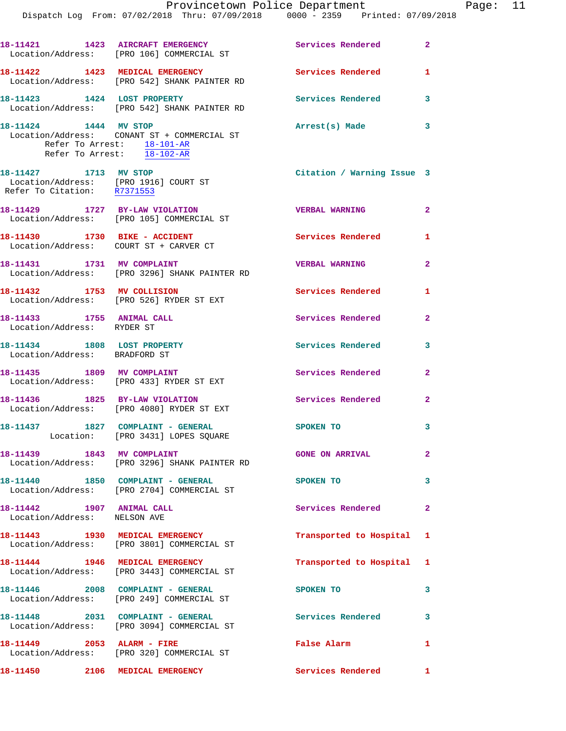|                                                                                               | 18-11421 1423 AIRCRAFT EMERGENCY<br>Location/Address: [PRO 106] COMMERCIAL ST                                         | Services Rendered 2        |                         |
|-----------------------------------------------------------------------------------------------|-----------------------------------------------------------------------------------------------------------------------|----------------------------|-------------------------|
|                                                                                               | 18-11422 1423 MEDICAL EMERGENCY<br>Location/Address: [PRO 542] SHANK PAINTER RD                                       | <b>Services Rendered</b>   | $\mathbf{1}$            |
| 18-11423 1424 LOST PROPERTY                                                                   | Location/Address: [PRO 542] SHANK PAINTER RD                                                                          | Services Rendered 3        |                         |
| 18-11424 1444 MV STOP                                                                         | Location/Address: CONANT ST + COMMERCIAL ST<br>Refer To Arrest: 18-101-AR<br>Refer To Arrest: $\frac{18-102-AR}{\pi}$ | Arrest(s) Made 3           |                         |
| 18-11427 1713 MV STOP<br>Location/Address: [PRO 1916] COURT ST<br>Refer To Citation: R7371553 |                                                                                                                       | Citation / Warning Issue 3 |                         |
|                                                                                               | 18-11429 1727 BY-LAW VIOLATION<br>Location/Address: [PRO 105] COMMERCIAL ST                                           | <b>VERBAL WARNING</b>      | $\overline{\mathbf{2}}$ |
| Location/Address: COURT ST + CARVER CT                                                        |                                                                                                                       | <b>Services Rendered</b> 1 |                         |
| 18-11431 1731 MV COMPLAINT                                                                    | Location/Address: [PRO 3296] SHANK PAINTER RD                                                                         | <b>VERBAL WARNING</b>      | $\mathbf{2}$            |
|                                                                                               | 18-11432 1753 MV COLLISION<br>Location/Address: [PRO 526] RYDER ST EXT                                                | Services Rendered          | 1                       |
| 18-11433 1755 ANIMAL CALL<br>Location/Address: RYDER ST                                       |                                                                                                                       | Services Rendered          | $\overline{2}$          |
| 18-11434 1808 LOST PROPERTY<br>Location/Address: BRADFORD ST                                  |                                                                                                                       | <b>Services Rendered</b>   | 3                       |
| 18-11435 1809 MV COMPLAINT                                                                    | Location/Address: [PRO 433] RYDER ST EXT                                                                              | Services Rendered          | $\overline{2}$          |
|                                                                                               | 18-11436 1825 BY-LAW VIOLATION<br>Location/Address: [PRO 4080] RYDER ST EXT                                           | <b>Services Rendered</b>   | $\overline{a}$          |
| 18-11437   1827   COMPLAINT - GENERAL                                                         | Location: [PRO 3431] LOPES SQUARE                                                                                     | SPOKEN TO                  | 3                       |
| 18-11439 1843 MV COMPLAINT                                                                    | Location/Address: [PRO 3296] SHANK PAINTER RD                                                                         | <b>GONE ON ARRIVAL</b>     | $\mathbf{2}$            |
|                                                                                               | 18-11440   1850   COMPLAINT - GENERAL<br>Location/Address: [PRO 2704] COMMERCIAL ST                                   | SPOKEN TO                  | 3                       |
| 18-11442 1907 ANIMAL CALL<br>Location/Address: NELSON AVE                                     |                                                                                                                       | Services Rendered          | $\mathbf{2}$            |
|                                                                                               | 18-11443 1930 MEDICAL EMERGENCY<br>Location/Address: [PRO 3801] COMMERCIAL ST                                         | Transported to Hospital 1  |                         |
|                                                                                               | 18-11444 1946 MEDICAL EMERGENCY<br>Location/Address: [PRO 3443] COMMERCIAL ST                                         | Transported to Hospital 1  |                         |
|                                                                                               | 18-11446 2008 COMPLAINT - GENERAL<br>Location/Address: [PRO 249] COMMERCIAL ST                                        | SPOKEN TO                  | 3                       |
|                                                                                               | 18-11448 2031 COMPLAINT - GENERAL<br>Location/Address: [PRO 3094] COMMERCIAL ST                                       | Services Rendered          | 3                       |
| 18-11449 2053 ALARM - FIRE                                                                    | Location/Address: [PRO 320] COMMERCIAL ST                                                                             | False Alarm                | $\mathbf{1}$            |
|                                                                                               | 18-11450 2106 MEDICAL EMERGENCY                                                                                       | Services Rendered 1        |                         |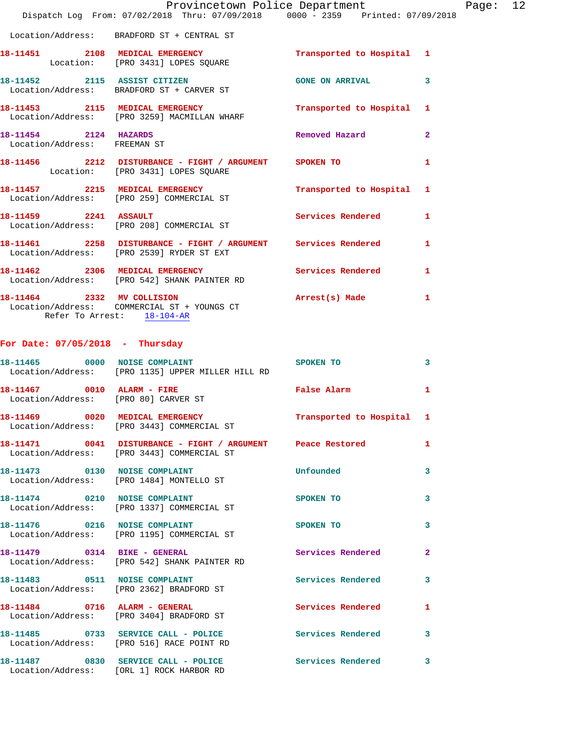|                                                       |                                                                                                         | Provincetown Police Department The Page: 12<br>Dispatch Log From: 07/02/2018 Thru: 07/09/2018 0000 - 2359 Printed: 07/09/2018 |              |  |
|-------------------------------------------------------|---------------------------------------------------------------------------------------------------------|-------------------------------------------------------------------------------------------------------------------------------|--------------|--|
|                                                       | Location/Address: BRADFORD ST + CENTRAL ST                                                              |                                                                                                                               |              |  |
|                                                       | Location: [PRO 3431] LOPES SQUARE                                                                       | 18-11451 2108 MEDICAL EMERGENCY Transported to Hospital 1                                                                     |              |  |
|                                                       | Location/Address: BRADFORD ST + CARVER ST                                                               | 18-11452 2115 ASSIST CITIZEN GONE ON ARRIVAL                                                                                  | 3            |  |
|                                                       | Location/Address: [PRO 3259] MACMILLAN WHARF                                                            | 18-11453 2115 MEDICAL EMERGENCY Transported to Hospital 1                                                                     |              |  |
| 18-11454 2124 HAZARDS<br>Location/Address: FREEMAN ST |                                                                                                         | Removed Hazard                                                                                                                | $\mathbf{2}$ |  |
|                                                       |                                                                                                         | 18-11456 2212 DISTURBANCE - FIGHT / ARGUMENT SPOKEN TO<br>Location: [PRO 3431] LOPES SQUARE                                   | 1            |  |
|                                                       |                                                                                                         | 18-11457 2215 MEDICAL EMERGENCY Transported to Hospital 1<br>Location/Address: [PRO 259] COMMERCIAL ST                        |              |  |
|                                                       | 18-11459 2241 ASSAULT<br>Location/Address: [PRO 208] COMMERCIAL ST                                      | Services Rendered                                                                                                             | 1            |  |
|                                                       | Location/Address: [PRO 2539] RYDER ST EXT                                                               | 18-11461 2258 DISTURBANCE - FIGHT / ARGUMENT Services Rendered 1                                                              |              |  |
|                                                       | Location/Address: [PRO 542] SHANK PAINTER RD                                                            | 18-11462 2306 MEDICAL EMERGENCY Services Rendered 1                                                                           |              |  |
|                                                       | 18-11464 2332 MV COLLISION<br>Location/Address: COMMERCIAL ST + YOUNGS CT<br>Refer To Arrest: 18-104-AR | Arrest(s) Made 1                                                                                                              |              |  |
|                                                       | For Date: $07/05/2018$ - Thursday                                                                       |                                                                                                                               |              |  |
|                                                       | Location/Address: [PRO 1135] UPPER MILLER HILL RD                                                       | 18-11465 0000 NOISE COMPLAINT SPOKEN TO                                                                                       | 3            |  |
|                                                       | Location/Address: [PRO 80] CARVER ST                                                                    | 18-11467 0010 ALARM - FIRE False Alarm                                                                                        | 1            |  |
|                                                       | 18-11469 0020 MEDICAL EMERGENCY<br>Location/Address: [PRO 3443] COMMERCIAL ST                           | Transported to Hospital 1                                                                                                     |              |  |
|                                                       | Location/Address: [PRO 3443] COMMERCIAL ST                                                              | 18-11471 0041 DISTURBANCE - FIGHT / ARGUMENT Peace Restored                                                                   | 1            |  |
|                                                       | 18-11473 0130 NOISE COMPLAINT<br>Location/Address: [PRO 1484] MONTELLO ST                               | Unfounded                                                                                                                     | 3            |  |
|                                                       | 18-11474 0210 NOISE COMPLAINT<br>Location/Address: [PRO 1337] COMMERCIAL ST                             | SPOKEN TO                                                                                                                     | 3            |  |
|                                                       | 18-11476 0216 NOISE COMPLAINT<br>Location/Address: [PRO 1195] COMMERCIAL ST                             | SPOKEN TO                                                                                                                     | 3            |  |
|                                                       | 18-11479 0314 BIKE - GENERAL<br>Location/Address: [PRO 542] SHANK PAINTER RD                            | Services Rendered                                                                                                             | $\mathbf{2}$ |  |
|                                                       | 18-11483 0511 NOISE COMPLAINT<br>Location/Address: [PRO 2362] BRADFORD ST                               | Services Rendered                                                                                                             | 3            |  |
|                                                       | 18-11484 0716 ALARM - GENERAL<br>Location/Address: [PRO 3404] BRADFORD ST                               | Services Rendered                                                                                                             | 1            |  |
|                                                       | Location/Address: [PRO 516] RACE POINT RD                                                               | 18-11485 0733 SERVICE CALL - POLICE Services Rendered                                                                         | 3            |  |
|                                                       | Location/Address: [ORL 1] ROCK HARBOR RD                                                                | 18-11487 0830 SERVICE CALL - POLICE Services Rendered                                                                         | 3            |  |
|                                                       |                                                                                                         |                                                                                                                               |              |  |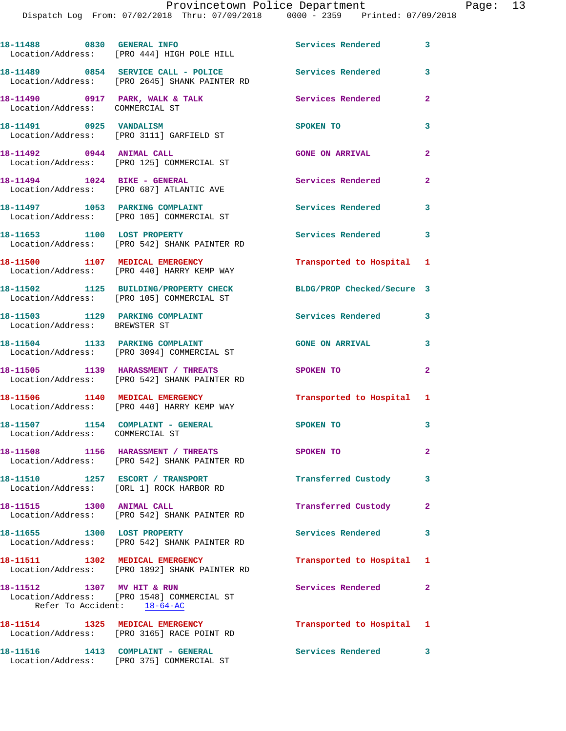Dispatch Log From: 07/02/2018 Thru: 07/09/2018 0000 - 2359 Printed: 07/09/2018

|                                                                      | 18-11488 0830 GENERAL INFO<br>Location/Address: [PRO 444] HIGH POLE HILL             | Services Rendered 3        |                |
|----------------------------------------------------------------------|--------------------------------------------------------------------------------------|----------------------------|----------------|
|                                                                      | 18-11489 0854 SERVICE CALL - POLICE<br>Location/Address: [PRO 2645] SHANK PAINTER RD | <b>Services Rendered</b>   | 3              |
| 18-11490 0917 PARK, WALK & TALK<br>Location/Address: COMMERCIAL ST   |                                                                                      | Services Rendered          | $\overline{a}$ |
| 18-11491 0925 VANDALISM                                              | Location/Address: [PRO 3111] GARFIELD ST                                             | SPOKEN TO                  | 3              |
| 18-11492 0944 ANIMAL CALL                                            | Location/Address: [PRO 125] COMMERCIAL ST                                            | <b>GONE ON ARRIVAL</b>     | $\overline{2}$ |
|                                                                      | 18-11494    1024 BIKE - GENERAL<br>Location/Address: [PRO 687] ATLANTIC AVE          | <b>Services Rendered</b>   | $\mathbf{2}$   |
|                                                                      | 18-11497 1053 PARKING COMPLAINT<br>Location/Address: [PRO 105] COMMERCIAL ST         | <b>Services Rendered</b>   | 3              |
| 18-11653 1100 LOST PROPERTY                                          | Location/Address: [PRO 542] SHANK PAINTER RD                                         | Services Rendered 3        |                |
|                                                                      | 18-11500 1107 MEDICAL EMERGENCY<br>Location/Address: [PRO 440] HARRY KEMP WAY        | Transported to Hospital 1  |                |
|                                                                      | 18-11502 1125 BUILDING/PROPERTY CHECK<br>Location/Address: [PRO 105] COMMERCIAL ST   | BLDG/PROP Checked/Secure 3 |                |
| Location/Address: BREWSTER ST                                        | 18-11503 1129 PARKING COMPLAINT                                                      | <b>Services Rendered</b>   | 3              |
|                                                                      | 18-11504 1133 PARKING COMPLAINT<br>Location/Address: [PRO 3094] COMMERCIAL ST        | <b>GONE ON ARRIVAL</b>     | 3              |
|                                                                      | 18-11505 1139 HARASSMENT / THREATS<br>Location/Address: [PRO 542] SHANK PAINTER RD   | SPOKEN TO                  | $\overline{a}$ |
|                                                                      | 18-11506 1140 MEDICAL EMERGENCY<br>Location/Address: [PRO 440] HARRY KEMP WAY        | Transported to Hospital 1  |                |
| 18-11507 1154 COMPLAINT - GENERAL<br>Location/Address: COMMERCIAL ST |                                                                                      | <b>SPOKEN TO</b>           | 3              |
|                                                                      | 18-11508 1156 HARASSMENT / THREATS<br>Location/Address: [PRO 542] SHANK PAINTER RD   | SPOKEN TO                  | $\mathbf{2}^-$ |
|                                                                      | 18-11510 1257 ESCORT / TRANSPORT<br>Location/Address: [ORL 1] ROCK HARBOR RD         | Transferred Custody        | 3              |
| 18-11515 1300 ANIMAL CALL                                            | Location/Address: [PRO 542] SHANK PAINTER RD                                         | Transferred Custody        | $\mathbf{2}$   |
| 18-11655 1300 LOST PROPERTY                                          | Location/Address: [PRO 542] SHANK PAINTER RD                                         | <b>Services Rendered</b>   | 3              |
| 18-11511 1302 MEDICAL EMERGENCY                                      | Location/Address: [PRO 1892] SHANK PAINTER RD                                        | Transported to Hospital 1  |                |
| 18-11512 1307 MV HIT & RUN<br>Refer To Accident: 18-64-AC            | Location/Address: [PRO 1548] COMMERCIAL ST                                           | Services Rendered          | $\mathbf{2}$   |
|                                                                      | 18-11514 1325 MEDICAL EMERGENCY<br>Location/Address: [PRO 3165] RACE POINT RD        | Transported to Hospital 1  |                |
|                                                                      | 18-11516 1413 COMPLAINT - GENERAL<br>Location/Address: [PRO 375] COMMERCIAL ST       | Services Rendered 3        |                |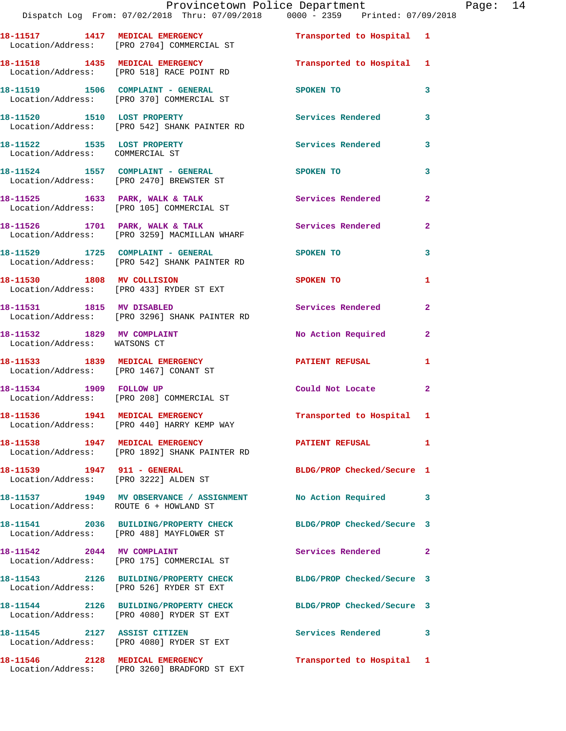|                                                                | Provincetown Police Department Fage: 14<br>Dispatch Log From: 07/02/2018 Thru: 07/09/2018 0000 - 2359 Printed: 07/09/2018 |                            |                |  |
|----------------------------------------------------------------|---------------------------------------------------------------------------------------------------------------------------|----------------------------|----------------|--|
|                                                                | 18-11517 1417 MEDICAL EMERGENCY 1 Transported to Hospital 1<br>Location/Address: [PRO 2704] COMMERCIAL ST                 |                            |                |  |
|                                                                | 18-11518 1435 MEDICAL EMERGENCY Transported to Hospital 1<br>Location/Address: [PRO 518] RACE POINT RD                    |                            |                |  |
|                                                                | 18-11519              1506    COMPLAINT - GENERAL<br>Location/Address:      [PRO 370] COMMERCIAL ST                       | SPOKEN TO                  | 3              |  |
|                                                                | 18-11520 1510 LOST PROPERTY<br>Location/Address: [PRO 542] SHANK PAINTER RD                                               | Services Rendered          | 3              |  |
| 18-11522 1535 LOST PROPERTY<br>Location/Address: COMMERCIAL ST |                                                                                                                           | Services Rendered 3        |                |  |
|                                                                | 18-11524 1557 COMPLAINT - GENERAL<br>Location/Address: [PRO 2470] BREWSTER ST                                             | SPOKEN TO                  | 3              |  |
|                                                                | 18-11525 1633 PARK, WALK & TALK 1999 Services Rendered<br>Location/Address: [PRO 105] COMMERCIAL ST                       |                            | $\overline{a}$ |  |
|                                                                | 18-11526 1701 PARK, WALK & TALK 1999 Services Rendered<br>Location/Address: [PRO 3259] MACMILLAN WHARF                    |                            | $\mathbf{2}$   |  |
|                                                                | 18-11529 1725 COMPLAINT - GENERAL<br>Location/Address: [PRO 542] SHANK PAINTER RD                                         | <b>SPOKEN TO</b>           | 3              |  |
|                                                                | 18-11530 1808 MV COLLISION<br>Location/Address: [PRO 433] RYDER ST EXT                                                    | SPOKEN TO                  | 1              |  |
| 18-11531 1815 MV DISABLED                                      | Location/Address: [PRO 3296] SHANK PAINTER RD                                                                             | Services Rendered          | $\overline{2}$ |  |
| Location/Address: WATSONS CT                                   | 18-11532 1829 MV COMPLAINT                                                                                                | No Action Required         | $\mathbf{2}$   |  |
|                                                                | 18-11533 1839 MEDICAL EMERGENCY<br>Location/Address: [PRO 1467] CONANT ST                                                 | PATIENT REFUSAL            | 1              |  |
|                                                                | 18-11534 1909 FOLLOW UP<br>Location/Address: [PRO 208] COMMERCIAL ST                                                      | Could Not Locate 2         |                |  |
|                                                                | 18-11536 1941 MEDICAL EMERGENCY<br>Location/Address: [PRO 440] HARRY KEMP WAY                                             | Transported to Hospital 1  |                |  |
|                                                                | 18-11538 1947 MEDICAL EMERGENCY<br>Location/Address: [PRO 1892] SHANK PAINTER RD                                          | <b>PATIENT REFUSAL</b>     | $\mathbf{1}$   |  |
|                                                                | Location/Address: [PRO 3222] ALDEN ST                                                                                     | BLDG/PROP Checked/Secure 1 |                |  |
| Location/Address: ROUTE 6 + HOWLAND ST                         | 18-11537 1949 MV OBSERVANCE / ASSIGNMENT No Action Required                                                               |                            | 3              |  |
|                                                                | 18-11541 2036 BUILDING/PROPERTY CHECK BLDG/PROP Checked/Secure 3<br>Location/Address: [PRO 488] MAYFLOWER ST              |                            |                |  |
|                                                                | 18-11542 2044 MV COMPLAINT<br>Location/Address: [PRO 175] COMMERCIAL ST                                                   | Services Rendered          | $\mathbf{2}$   |  |
|                                                                | 18-11543 2126 BUILDING/PROPERTY CHECK BLDG/PROP Checked/Secure 3<br>Location/Address: [PRO 526] RYDER ST EXT              |                            |                |  |
|                                                                | 18-11544 2126 BUILDING/PROPERTY CHECK BLDG/PROP Checked/Secure 3<br>Location/Address: [PRO 4080] RYDER ST EXT             |                            |                |  |
| 18-11545 2127 ASSIST CITIZEN                                   | Location/Address: [PRO 4080] RYDER ST EXT                                                                                 | Services Rendered 3        |                |  |
|                                                                | 18-11546 2128 MEDICAL EMERGENCY                                                                                           | Transported to Hospital 1  |                |  |

Location/Address: [PRO 3260] BRADFORD ST EXT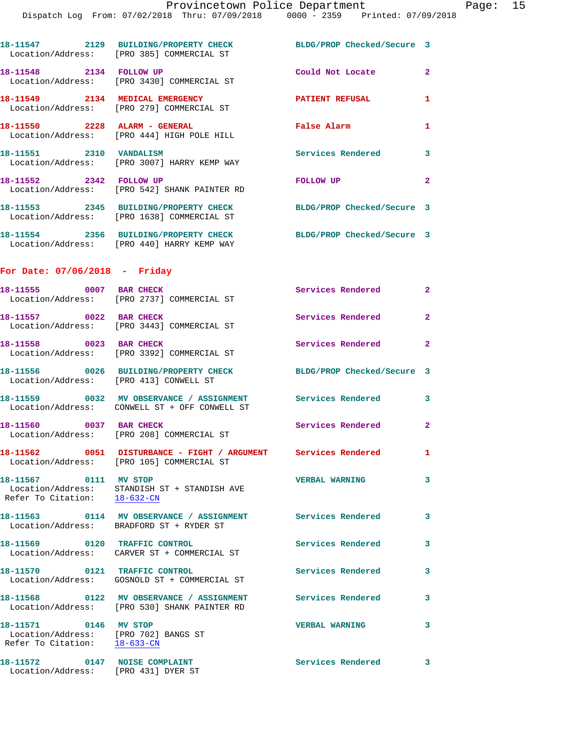|                                                                                               | 18-11547 2129 BUILDING/PROPERTY CHECK<br>Location/Address: [PRO 385] COMMERCIAL ST                            | BLDG/PROP Checked/Secure 3 |                |
|-----------------------------------------------------------------------------------------------|---------------------------------------------------------------------------------------------------------------|----------------------------|----------------|
| 18-11548 2134 FOLLOW UP                                                                       | Location/Address: [PRO 3430] COMMERCIAL ST                                                                    | Could Not Locate           | $\mathbf{2}$   |
|                                                                                               | 18-11549 2134 MEDICAL EMERGENCY<br>Location/Address: [PRO 279] COMMERCIAL ST                                  | PATIENT REFUSAL            | 1              |
|                                                                                               | 18-11550 2228 ALARM - GENERAL<br>Location/Address: [PRO 444] HIGH POLE HILL                                   | False Alarm                | 1              |
| 18-11551 2310 VANDALISM                                                                       | Location/Address: [PRO 3007] HARRY KEMP WAY                                                                   | <b>Services Rendered</b>   | 3              |
| 18-11552 2342 FOLLOW UP                                                                       | Location/Address: [PRO 542] SHANK PAINTER RD                                                                  | FOLLOW UP                  | $\overline{2}$ |
|                                                                                               | 18-11553 2345 BUILDING/PROPERTY CHECK<br>Location/Address: [PRO 1638] COMMERCIAL ST                           | BLDG/PROP Checked/Secure 3 |                |
|                                                                                               | 18-11554 2356 BUILDING/PROPERTY CHECK<br>Location/Address: [PRO 440] HARRY KEMP WAY                           | BLDG/PROP Checked/Secure 3 |                |
| For Date: 07/06/2018 - Friday                                                                 |                                                                                                               |                            |                |
| 18-11555 0007 BAR CHECK                                                                       | Location/Address: [PRO 2737] COMMERCIAL ST                                                                    | Services Rendered          | $\mathbf{2}$   |
| 18-11557 0022 BAR CHECK                                                                       | Location/Address: [PRO 3443] COMMERCIAL ST                                                                    | Services Rendered          | $\mathbf{2}$   |
| 18-11558 0023 BAR CHECK                                                                       | Location/Address: [PRO 3392] COMMERCIAL ST                                                                    | Services Rendered 2        |                |
| Location/Address: [PRO 413] CONWELL ST                                                        | 18-11556 0026 BUILDING/PROPERTY CHECK BLDG/PROP Checked/Secure 3                                              |                            |                |
|                                                                                               | 18-11559 0032 MV OBSERVANCE / ASSIGNMENT Services Rendered 3<br>Location/Address: CONWELL ST + OFF CONWELL ST |                            |                |
| 18-11560 0037 BAR CHECK                                                                       | Location/Address: [PRO 208] COMMERCIAL ST                                                                     | Services Rendered          | $\mathbf{2}$   |
|                                                                                               | 18-11562 0051 DISTURBANCE - FIGHT / ARGUMENT Services Rendered<br>Location/Address: [PRO 105] COMMERCIAL ST   |                            | 1              |
| 18-11567 0111 MV STOP<br>Refer To Citation: 18-632-CN                                         | Location/Address: STANDISH ST + STANDISH AVE                                                                  | <b>VERBAL WARNING</b>      | 3              |
|                                                                                               | Location/Address: BRADFORD ST + RYDER ST                                                                      |                            | 3              |
|                                                                                               | 18-11569 0120 TRAFFIC CONTROL<br>Location/Address: CARVER ST + COMMERCIAL ST                                  | Services Rendered          | 3              |
| 18-11570 0121 TRAFFIC CONTROL                                                                 | Location/Address: GOSNOLD ST + COMMERCIAL ST                                                                  | Services Rendered          | 3              |
|                                                                                               | 18-11568 0122 MV OBSERVANCE / ASSIGNMENT Services Rendered<br>Location/Address: [PRO 530] SHANK PAINTER RD    |                            | 3              |
| 18-11571 0146 MV STOP<br>Location/Address: [PRO 702] BANGS ST<br>Refer To Citation: 18-633-CN |                                                                                                               | <b>VERBAL WARNING</b>      | 3              |
| 18-11572 0147 NOISE COMPLAINT<br>Location/Address: [PRO 431] DYER ST                          |                                                                                                               | <b>Services Rendered</b>   | 3              |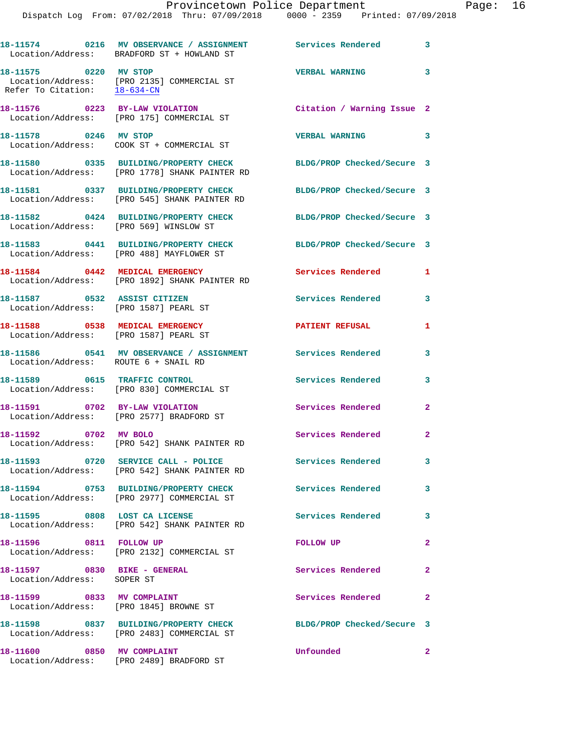|                                                                          | 18-11574 0216 MV OBSERVANCE / ASSIGNMENT<br>Location/Address: BRADFORD ST + HOWLAND ST | Services Rendered                 | $\sim$ 3                |
|--------------------------------------------------------------------------|----------------------------------------------------------------------------------------|-----------------------------------|-------------------------|
| 18-11575 0220 MV STOP                                                    | Location/Address: [PRO 2135] COMMERCIAL ST<br>Refer To Citation: $18-634$ -CN          | <b>VERBAL WARNING</b>             | $\overline{\mathbf{3}}$ |
|                                                                          | 18-11576 0223 BY-LAW VIOLATION<br>Location/Address: [PRO 175] COMMERCIAL ST            | Citation / Warning Issue 2        |                         |
| 18-11578 0246 MV STOP                                                    | Location/Address: COOK ST + COMMERCIAL ST                                              | <b>VERBAL WARNING</b><br>$\sim$ 3 |                         |
|                                                                          | 18-11580 0335 BUILDING/PROPERTY CHECK<br>Location/Address: [PRO 1778] SHANK PAINTER RD | BLDG/PROP Checked/Secure 3        |                         |
|                                                                          | 18-11581 0337 BUILDING/PROPERTY CHECK<br>Location/Address: [PRO 545] SHANK PAINTER RD  | BLDG/PROP Checked/Secure 3        |                         |
| Location/Address: [PRO 569] WINSLOW ST                                   | 18-11582 0424 BUILDING/PROPERTY CHECK                                                  | BLDG/PROP Checked/Secure 3        |                         |
|                                                                          | 18-11583 0441 BUILDING/PROPERTY CHECK<br>Location/Address: [PRO 488] MAYFLOWER ST      | BLDG/PROP Checked/Secure 3        |                         |
|                                                                          | 18-11584 0442 MEDICAL EMERGENCY<br>Location/Address: [PRO 1892] SHANK PAINTER RD       | Services Rendered                 | 1                       |
| 18-11587 0532 ASSIST CITIZEN<br>Location/Address: [PRO 1587] PEARL ST    |                                                                                        | Services Rendered                 | 3                       |
| 18-11588 0538 MEDICAL EMERGENCY<br>Location/Address: [PRO 1587] PEARL ST |                                                                                        | <b>PATIENT REFUSAL</b>            | 1                       |
| Location/Address: ROUTE 6 + SNAIL RD                                     | 18-11586 0541 MV OBSERVANCE / ASSIGNMENT Services Rendered                             |                                   | $\mathbf{3}$            |
|                                                                          | 18-11589 0615 TRAFFIC CONTROL<br>Location/Address: [PRO 830] COMMERCIAL ST             | <b>Services Rendered</b>          | 3                       |
| 18-11591 0702 BY-LAW VIOLATION                                           | Location/Address: [PRO 2577] BRADFORD ST                                               | <b>Services Rendered</b>          | $\mathbf{2}$            |
| 18-11592 0702 MV BOLO                                                    | Location/Address: [PRO 542] SHANK PAINTER RD                                           | Services Rendered                 | -2                      |
|                                                                          | 18-11593 0720 SERVICE CALL - POLICE<br>Location/Address: [PRO 542] SHANK PAINTER RD    | <b>Services Rendered</b>          | 3                       |
|                                                                          | 18-11594 0753 BUILDING/PROPERTY CHECK<br>Location/Address: [PRO 2977] COMMERCIAL ST    | Services Rendered                 | 3                       |
| 18-11595 0808 LOST CA LICENSE                                            | Location/Address: [PRO 542] SHANK PAINTER RD                                           | Services Rendered                 | 3                       |
| 18-11596 0811 FOLLOW UP                                                  | Location/Address: [PRO 2132] COMMERCIAL ST                                             | <b>FOLLOW UP</b>                  | $\mathbf{2}$            |
| 18-11597 0830 BIKE - GENERAL<br>Location/Address: SOPER ST               |                                                                                        | Services Rendered                 | $\mathbf{2}$            |
|                                                                          | 18-11599 0833 MV COMPLAINT<br>Location/Address: [PRO 1845] BROWNE ST                   | Services Rendered                 | $\mathbf{2}$            |
|                                                                          | 18-11598 0837 BUILDING/PROPERTY CHECK<br>Location/Address: [PRO 2483] COMMERCIAL ST    | BLDG/PROP Checked/Secure 3        |                         |
| 18-11600 0850 MV COMPLAINT                                               | Location/Address: [PRO 2489] BRADFORD ST                                               | Unfounded                         | $\mathbf{2}$            |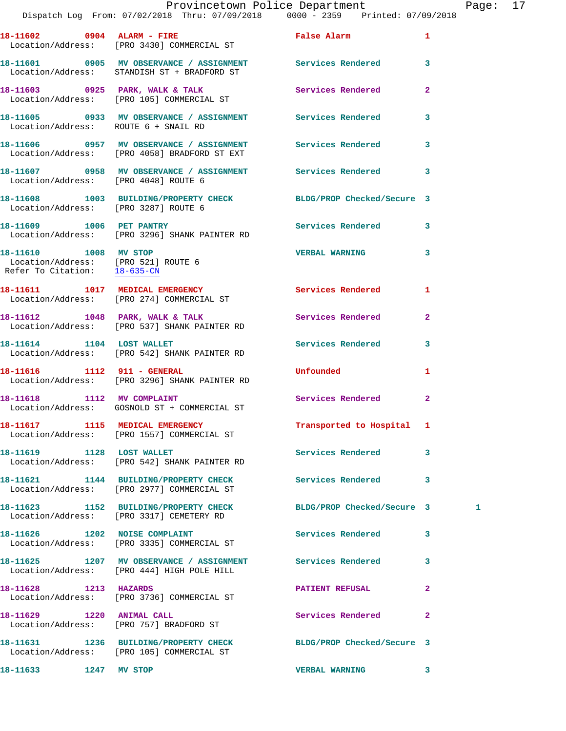## Provincetown Police Department Page: 17

Dispatch Log From: 07/02/2018 Thru: 07/09/2018 0000 - 2359 Printed: 07/09/2018

|                                                                                              | 18-11602 0904 ALARM - FIRE<br>Location/Address: [PRO 3430] COMMERCIAL ST                                   | <b>False Alarm</b>         | 1                       |   |
|----------------------------------------------------------------------------------------------|------------------------------------------------------------------------------------------------------------|----------------------------|-------------------------|---|
|                                                                                              | 18-11601 0905 MV OBSERVANCE / ASSIGNMENT Services Rendered<br>Location/Address: STANDISH ST + BRADFORD ST  |                            | $\overline{\mathbf{3}}$ |   |
|                                                                                              | 18-11603 0925 PARK, WALK & TALK<br>Location/Address: [PRO 105] COMMERCIAL ST                               | Services Rendered          | $\mathbf{2}$            |   |
| Location/Address: ROUTE 6 + SNAIL RD                                                         | 18-11605 0933 MV OBSERVANCE / ASSIGNMENT Services Rendered                                                 |                            | 3                       |   |
|                                                                                              | 18-11606 0957 MV OBSERVANCE / ASSIGNMENT Services Rendered<br>Location/Address: [PRO 4058] BRADFORD ST EXT |                            | 3                       |   |
| Location/Address: [PRO 4048] ROUTE 6                                                         | 18-11607 0958 MV OBSERVANCE / ASSIGNMENT Services Rendered                                                 |                            | 3                       |   |
| Location/Address: [PRO 3287] ROUTE 6                                                         | 18-11608 1003 BUILDING/PROPERTY CHECK BLDG/PROP Checked/Secure 3                                           |                            |                         |   |
|                                                                                              | 18-11609    1006 PET PANTRY<br>Location/Address: [PRO 3296] SHANK PAINTER RD                               | <b>Services Rendered</b>   | 3                       |   |
| 18-11610 1008 MV STOP<br>Location/Address: [PRO 521] ROUTE 6<br>Refer To Citation: 18-635-CN |                                                                                                            | <b>VERBAL WARNING</b>      | 3                       |   |
|                                                                                              | 18-11611 1017 MEDICAL EMERGENCY<br>Location/Address: [PRO 274] COMMERCIAL ST                               | <b>Services Rendered</b>   | 1                       |   |
|                                                                                              | 18-11612 1048 PARK, WALK & TALK<br>Location/Address: [PRO 537] SHANK PAINTER RD                            | Services Rendered          | $\mathbf{2}$            |   |
|                                                                                              | 18-11614    1104    LOST WALLET<br>Location/Address: [PRO 542] SHANK PAINTER RD                            | Services Rendered          | 3                       |   |
| 18-11616    1112    911 - GENERAL                                                            | Location/Address: [PRO 3296] SHANK PAINTER RD                                                              | Unfounded                  | 1                       |   |
|                                                                                              | 18-11618 1112 MV COMPLAINT<br>Location/Address: GOSNOLD ST + COMMERCIAL ST                                 | <b>Services Rendered</b>   | $\overline{a}$          |   |
|                                                                                              | 18-11617 1115 MEDICAL EMERGENCY<br>Location/Address: [PRO 1557] COMMERCIAL ST                              | Transported to Hospital 1  |                         |   |
|                                                                                              | 18-11619 1128 LOST WALLET<br>Location/Address: [PRO 542] SHANK PAINTER RD                                  | Services Rendered          | 3                       |   |
|                                                                                              | 18-11621 1144 BUILDING/PROPERTY CHECK<br>Location/Address: [PRO 2977] COMMERCIAL ST                        | Services Rendered          | 3                       |   |
|                                                                                              | 18-11623 1152 BUILDING/PROPERTY CHECK<br>Location/Address: [PRO 3317] CEMETERY RD                          | BLDG/PROP Checked/Secure 3 |                         | 1 |
| 18-11626 1202 NOISE COMPLAINT                                                                | Location/Address: [PRO 3335] COMMERCIAL ST                                                                 | Services Rendered          | 3                       |   |
|                                                                                              | 18-11625 1207 MV OBSERVANCE / ASSIGNMENT Services Rendered<br>Location/Address: [PRO 444] HIGH POLE HILL   |                            | 3                       |   |
| 18-11628 1213 HAZARDS                                                                        | Location/Address: [PRO 3736] COMMERCIAL ST                                                                 | <b>PATIENT REFUSAL</b>     | 2                       |   |
| 18-11629 1220 ANIMAL CALL                                                                    | Location/Address: [PRO 757] BRADFORD ST                                                                    | Services Rendered          | $\overline{2}$          |   |
|                                                                                              | 18-11631 1236 BUILDING/PROPERTY CHECK<br>Location/Address: [PRO 105] COMMERCIAL ST                         | BLDG/PROP Checked/Secure 3 |                         |   |
| 18-11633 1247 MV STOP                                                                        |                                                                                                            | <b>VERBAL WARNING</b>      | 3                       |   |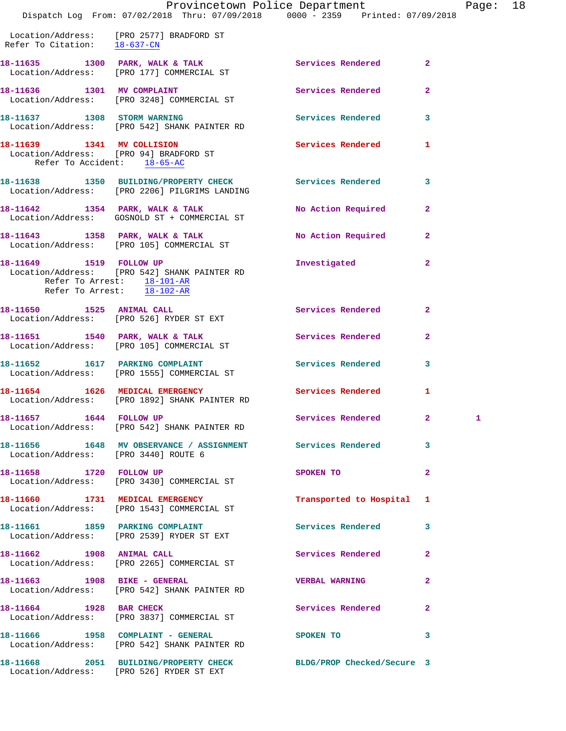|                                      | Dispatch Log From: 07/02/2018 Thru: 07/09/2018 0000 - 2359 Printed: 07/09/2018                                                          | Provincetown Police Department |                         | Page: 18 |  |
|--------------------------------------|-----------------------------------------------------------------------------------------------------------------------------------------|--------------------------------|-------------------------|----------|--|
| Refer To Citation: 18-637-CN         | Location/Address: [PRO 2577] BRADFORD ST                                                                                                |                                |                         |          |  |
|                                      | 18-11635 1300 PARK, WALK & TALK<br>Location/Address: [PRO 177] COMMERCIAL ST                                                            | Services Rendered 2            |                         |          |  |
|                                      | 18-11636 1301 MV COMPLAINT<br>Location/Address: [PRO 3248] COMMERCIAL ST                                                                | Services Rendered              | $\overline{2}$          |          |  |
|                                      | 18-11637 1308 STORM WARNING<br>Location/Address: [PRO 542] SHANK PAINTER RD                                                             | Services Rendered 3            |                         |          |  |
| Refer To Accident: 18-65-AC          | 18-11639 1341 MV COLLISION<br>Location/Address: [PRO 94] BRADFORD ST                                                                    | Services Rendered 1            |                         |          |  |
|                                      | 18-11638 1350 BUILDING/PROPERTY CHECK Services Rendered 3<br>Location/Address: [PRO 2206] PILGRIMS LANDING                              |                                |                         |          |  |
|                                      | 18-11642 1354 PARK, WALK & TALK<br>Location/Address: GOSNOLD ST + COMMERCIAL ST                                                         | No Action Required             | $\mathbf{2}$            |          |  |
|                                      | 18-11643 1358 PARK, WALK & TALK<br>Location/Address: [PRO 105] COMMERCIAL ST                                                            | No Action Required 2           |                         |          |  |
|                                      | 18-11649   1519   FOLLOW UP<br>Location/Address: [PRO 542] SHANK PAINTER RD<br>Refer To Arrest: 18-101-AR<br>Refer To Arrest: 18-102-AR | Investigated                   | $\overline{2}$          |          |  |
|                                      | 18-11650 1525 ANIMAL CALL<br>Location/Address: [PRO 526] RYDER ST EXT                                                                   | Services Rendered              | $\mathbf{2}$            |          |  |
|                                      | 18-11651 1540 PARK, WALK & TALK<br>Location/Address: [PRO 105] COMMERCIAL ST                                                            | Services Rendered              | $\overline{2}$          |          |  |
|                                      | 18-11652 1617 PARKING COMPLAINT<br>Location/Address: [PRO 1555] COMMERCIAL ST                                                           | Services Rendered              | $\overline{\mathbf{3}}$ |          |  |
|                                      | 18-11654 1626 MEDICAL EMERGENCY<br>Location/Address: [PRO 1892] SHANK PAINTER RD                                                        | Services Rendered              | 1                       |          |  |
| 18-11657 1644 FOLLOW UP              | Location/Address: [PRO 542] SHANK PAINTER RD                                                                                            | Services Rendered 2            |                         | 1        |  |
| Location/Address: [PRO 3440] ROUTE 6 | 18-11656 1648 MV OBSERVANCE / ASSIGNMENT Services Rendered 3                                                                            |                                |                         |          |  |
|                                      | 18-11658 1720 FOLLOW UP<br>Location/Address: [PRO 3430] COMMERCIAL ST                                                                   | SPOKEN TO                      | $\mathbf{2}$            |          |  |
|                                      | 18-11660 1731 MEDICAL EMERGENCY<br>Location/Address: [PRO 1543] COMMERCIAL ST                                                           | Transported to Hospital 1      |                         |          |  |
|                                      | 18-11661 1859 PARKING COMPLAINT<br>Location/Address: [PRO 2539] RYDER ST EXT                                                            | <b>Services Rendered</b>       | $\mathbf{3}$            |          |  |
| 18-11662 1908 ANIMAL CALL            | Location/Address: [PRO 2265] COMMERCIAL ST                                                                                              | Services Rendered 2            |                         |          |  |
|                                      | 18-11663    1908    BIKE - GENERAL<br>Location/Address: [PRO 542] SHANK PAINTER RD                                                      | <b>VERBAL WARNING</b>          | $\mathbf{2}$            |          |  |
| 18-11664 1928 BAR CHECK              | Location/Address: [PRO 3837] COMMERCIAL ST                                                                                              | Services Rendered 2            |                         |          |  |
|                                      | 18-11666            1958   COMPLAINT - GENERAL<br>  Location/Address:    [PRO 542] SHANK PAINTER RD                                     | SPOKEN TO                      | 3                       |          |  |
|                                      | 18-11668 2051 BUILDING/PROPERTY CHECK BLDG/PROP Checked/Secure 3<br>Location/Address: [PRO 526] RYDER ST EXT                            |                                |                         |          |  |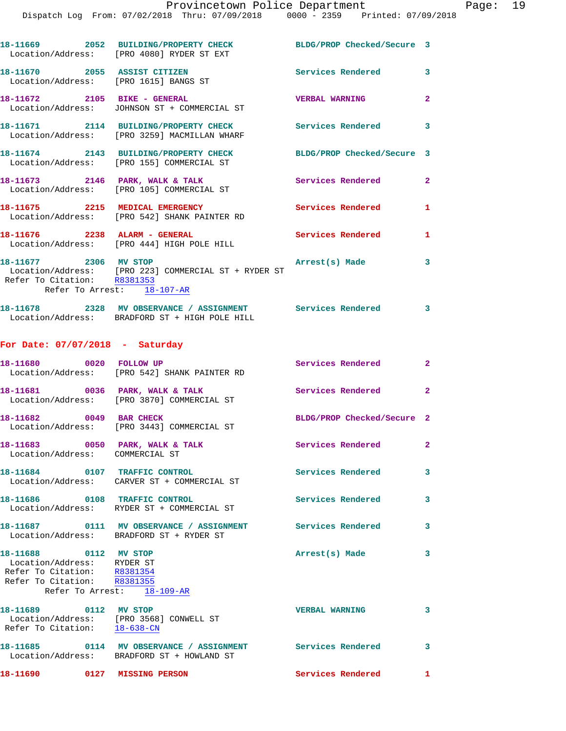|                                                                                                                   | 18-11669 2052 BUILDING/PROPERTY CHECK BLDG/PROP Checked/Secure 3<br>Location/Address: [PRO 4080] RYDER ST EXT  |                            |                         |
|-------------------------------------------------------------------------------------------------------------------|----------------------------------------------------------------------------------------------------------------|----------------------------|-------------------------|
| 18-11670 2055 ASSIST CITIZEN                                                                                      | Location/Address: [PRO 1615] BANGS ST                                                                          | Services Rendered 3        |                         |
| 18-11672 2105 BIKE - GENERAL                                                                                      | Location/Address: JOHNSON ST + COMMERCIAL ST                                                                   | <b>VERBAL WARNING</b>      | $\mathbf{2}$            |
|                                                                                                                   | 18-11671 2114 BUILDING/PROPERTY CHECK<br>Location/Address: [PRO 3259] MACMILLAN WHARF                          | Services Rendered 3        |                         |
|                                                                                                                   | 18-11674 2143 BUILDING/PROPERTY CHECK<br>Location/Address: [PRO 155] COMMERCIAL ST                             | BLDG/PROP Checked/Secure 3 |                         |
|                                                                                                                   | 18-11673 2146 PARK, WALK & TALK<br>Location/Address: [PRO 105] COMMERCIAL ST                                   | Services Rendered          | $\mathbf{2}$            |
|                                                                                                                   | 18-11675 2215 MEDICAL EMERGENCY<br>Location/Address: [PRO 542] SHANK PAINTER RD                                | Services Rendered          | $\mathbf{1}$            |
|                                                                                                                   | 18-11676  2238 ALARM - GENERAL<br>Location/Address: [PRO 444] HIGH POLE HILL                                   | <b>Services Rendered</b>   | $\mathbf{1}$            |
| 18-11677 2306 MV STOP<br>Refer To Citation: R8381353<br>Refer To Arrest: 18-107-AR                                | Location/Address: [PRO 223] COMMERCIAL ST + RYDER ST                                                           | Arrest(s) Made             | 3                       |
|                                                                                                                   | 18-11678 2328 MV OBSERVANCE / ASSIGNMENT Services Rendered 3<br>Location/Address: BRADFORD ST + HIGH POLE HILL |                            |                         |
| For Date: $07/07/2018$ - Saturday                                                                                 |                                                                                                                |                            |                         |
|                                                                                                                   | 18-11680 0020 FOLLOW UP<br>Location/Address: [PRO 542] SHANK PAINTER RD                                        | Services Rendered 2        |                         |
| 18-11681 0036 PARK, WALK & TALK                                                                                   | Location/Address: [PRO 3870] COMMERCIAL ST                                                                     | Services Rendered          | $\overline{2}$          |
| 18-11682 0049 BAR CHECK                                                                                           | Location/Address: [PRO 3443] COMMERCIAL ST                                                                     | BLDG/PROP Checked/Secure 2 |                         |
| Location/Address: COMMERCIAL ST                                                                                   | 18-11683 0050 PARK, WALK & TALK                                                                                | Services Rendered 2        |                         |
|                                                                                                                   | 18-11684 0107 TRAFFIC CONTROL<br>Location/Address: CARVER ST + COMMERCIAL ST                                   | Services Rendered          | 3                       |
| 18-11686 0108 TRAFFIC CONTROL                                                                                     | Location/Address: RYDER ST + COMMERCIAL ST                                                                     | Services Rendered          | 3                       |
|                                                                                                                   | Location/Address: BRADFORD ST + RYDER ST                                                                       |                            | 3                       |
| 18-11688 0112 MV STOP<br>Location/Address: RYDER ST<br>Refer To Citation: R8381354<br>Refer To Citation: R8381355 | Refer To Arrest: 18-109-AR                                                                                     | Arrest(s) Made             | 3                       |
| 18-11689 0112 MV STOP                                                                                             | Location/Address: [PRO 3568] CONWELL ST<br>Refer To Citation: 18-638-CN                                        | <b>VERBAL WARNING</b>      | 3                       |
|                                                                                                                   | 18-11685 0114 MV OBSERVANCE / ASSIGNMENT Services Rendered<br>Location/Address: BRADFORD ST + HOWLAND ST       |                            | $\overline{\mathbf{3}}$ |
| 18-11690 0127 MISSING PERSON                                                                                      |                                                                                                                | Services Rendered          | $\mathbf{1}$            |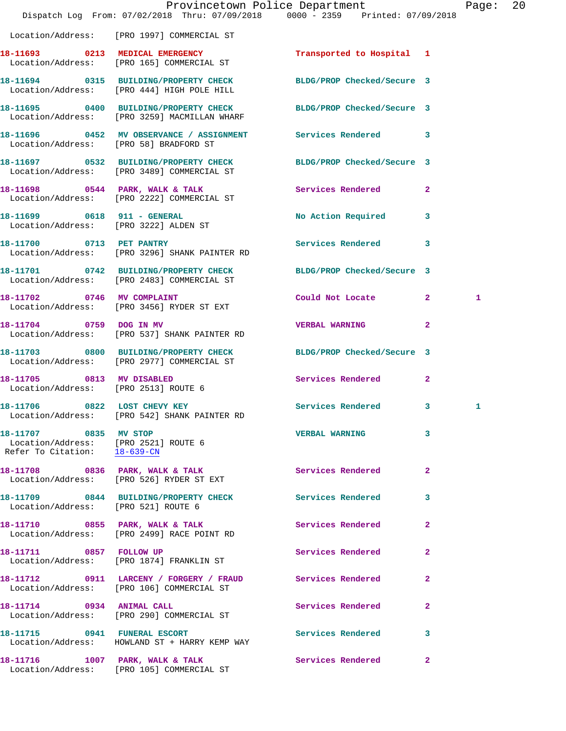|                                                                                               | Dispatch Log From: 07/02/2018 Thru: 07/09/2018 0000 - 2359 Printed: 07/09/2018                                   | Provincetown Police Department |                | Page: 20 |  |
|-----------------------------------------------------------------------------------------------|------------------------------------------------------------------------------------------------------------------|--------------------------------|----------------|----------|--|
|                                                                                               | Location/Address: [PRO 1997] COMMERCIAL ST                                                                       |                                |                |          |  |
|                                                                                               |                                                                                                                  |                                |                |          |  |
|                                                                                               | 18-11694 0315 BUILDING/PROPERTY CHECK BLDG/PROP Checked/Secure 3<br>Location/Address: [PRO 444] HIGH POLE HILL   |                                |                |          |  |
|                                                                                               | 18-11695 0400 BUILDING/PROPERTY CHECK BLDG/PROP Checked/Secure 3<br>Location/Address: [PRO 3259] MACMILLAN WHARF |                                |                |          |  |
| Location/Address: [PRO 58] BRADFORD ST                                                        | 18-11696 0452 MV OBSERVANCE / ASSIGNMENT Services Rendered 3                                                     |                                |                |          |  |
|                                                                                               | 18-11697 0532 BUILDING/PROPERTY CHECK BLDG/PROP Checked/Secure 3<br>Location/Address: [PRO 3489] COMMERCIAL ST   |                                |                |          |  |
|                                                                                               | 18-11698 0544 PARK, WALK & TALK<br>Location/Address: [PRO 2222] COMMERCIAL ST                                    | Services Rendered 2            |                |          |  |
| Location/Address: [PRO 3222] ALDEN ST                                                         | 18-11699 0618 911 - GENERAL                                                                                      | No Action Required 3           |                |          |  |
|                                                                                               | 18-11700 0713 PET PANTRY<br>Location/Address: [PRO 3296] SHANK PAINTER RD                                        | Services Rendered 3            |                |          |  |
|                                                                                               | 18-11701 0742 BUILDING/PROPERTY CHECK<br>Location/Address: [PRO 2483] COMMERCIAL ST                              | BLDG/PROP Checked/Secure 3     |                |          |  |
|                                                                                               | 18-11702 0746 MV COMPLAINT<br>Location/Address: [PRO 3456] RYDER ST EXT                                          | Could Not Locate 2             |                | 1        |  |
|                                                                                               | 18-11704 0759 DOG IN MV<br>Location/Address: [PRO 537] SHANK PAINTER RD                                          | <b>VERBAL WARNING</b>          | $\mathbf{2}$   |          |  |
|                                                                                               | 18-11703 0800 BUILDING/PROPERTY CHECK BLDG/PROP Checked/Secure 3<br>Location/Address: [PRO 2977] COMMERCIAL ST   |                                |                |          |  |
| Location/Address: [PRO 2513] ROUTE 6                                                          | 18-11705 0813 MV DISABLED                                                                                        | Services Rendered 2            |                |          |  |
|                                                                                               | 18-11706 0822 LOST CHEVY KEY<br>Location/Address: [PRO 542] SHANK PAINTER RD                                     | Services Rendered 3            |                |          |  |
| 18-11707 0835 MV STOP<br>Location/Address: [PRO 2521] ROUTE 6<br>Refer To Citation: 18-639-CN |                                                                                                                  | VERBAL WARNING 3               |                |          |  |
|                                                                                               | 18-11708 0836 PARK, WALK & TALK 6 Services Rendered 2<br>Location/Address: [PRO 526] RYDER ST EXT                |                                |                |          |  |
| Location/Address: [PRO 521] ROUTE 6                                                           | 18-11709 0844 BUILDING/PROPERTY CHECK Services Rendered                                                          |                                | $\mathbf{3}$   |          |  |
|                                                                                               | 18-11710 0855 PARK, WALK & TALK 3 Services Rendered 2<br>Location/Address: [PRO 2499] RACE POINT RD              |                                |                |          |  |
|                                                                                               | 18-11711 0857 FOLLOW UP<br>Location/Address: [PRO 1874] FRANKLIN ST                                              | Services Rendered              | $\mathbf{2}$   |          |  |
|                                                                                               | 18-11712 0911 LARCENY / FORGERY / FRAUD Services Rendered<br>Location/Address: [PRO 106] COMMERCIAL ST           |                                | $\mathbf{2}$   |          |  |
|                                                                                               | 18-11714 0934 ANIMAL CALL<br>Location/Address: [PRO 290] COMMERCIAL ST                                           | Services Rendered              | $\overline{a}$ |          |  |
|                                                                                               | 18-11715 0941 FUNERAL ESCORT<br>Location/Address: HOWLAND ST + HARRY KEMP WAY                                    | <b>Services Rendered</b>       | $\mathbf{3}$   |          |  |
|                                                                                               | 18-11716 1007 PARK, WALK & TALK<br>Location/Address: [PRO 105] COMMERCIAL ST                                     | Services Rendered 2            |                |          |  |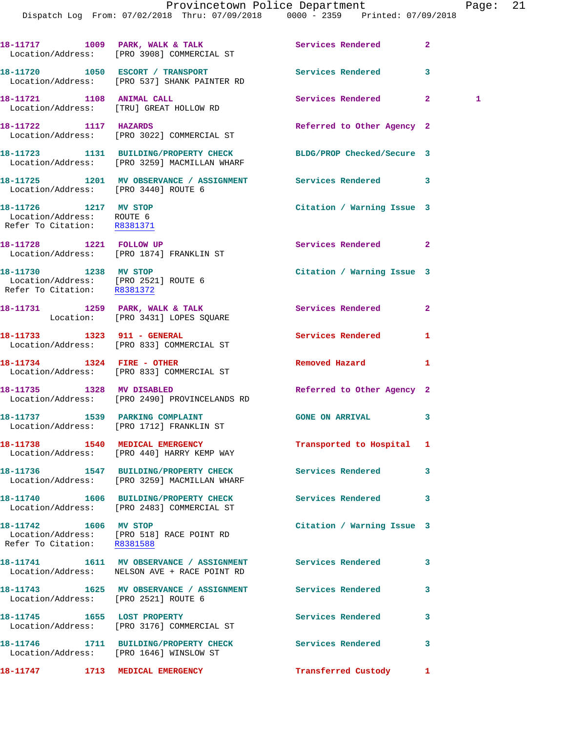|                                                                                              | 18-11717 1009 PARK, WALK & TALK 1999 Services Rendered<br>Location/Address: [PRO 3908] COMMERCIAL ST                                     |                            | $\mathbf{2}$      |
|----------------------------------------------------------------------------------------------|------------------------------------------------------------------------------------------------------------------------------------------|----------------------------|-------------------|
|                                                                                              | 18-11720 1050 ESCORT / TRANSPORT<br>Location/Address: [PRO 537] SHANK PAINTER RD                                                         | <b>Services Rendered</b>   | 3                 |
|                                                                                              | 18-11721 1108 ANIMAL CALL<br>Location/Address: [TRU] GREAT HOLLOW RD                                                                     | Services Rendered          | $\mathbf{2}$<br>1 |
| 18-11722 1117 HAZARDS                                                                        | Location/Address: [PRO 3022] COMMERCIAL ST                                                                                               | Referred to Other Agency 2 |                   |
|                                                                                              | 18-11723 1131 BUILDING/PROPERTY CHECK<br>Location/Address: [PRO 3259] MACMILLAN WHARF                                                    | BLDG/PROP Checked/Secure 3 |                   |
| Location/Address: [PRO 3440] ROUTE 6                                                         | 18-11725 1201 MV OBSERVANCE / ASSIGNMENT Services Rendered 3                                                                             |                            |                   |
| 18-11726 1217 MV STOP<br>Location/Address: ROUTE 6<br>Refer To Citation: R8381371            |                                                                                                                                          | Citation / Warning Issue 3 |                   |
| 18-11728 1221 FOLLOW UP                                                                      | Location/Address: [PRO 1874] FRANKLIN ST                                                                                                 | Services Rendered          | $\overline{2}$    |
| 18-11730 1238 MV STOP<br>Location/Address: [PRO 2521] ROUTE 6<br>Refer To Citation: R8381372 |                                                                                                                                          | Citation / Warning Issue 3 |                   |
|                                                                                              | 18-11731 1259 PARK, WALK & TALK<br>Location: [PRO 3431] LOPES SQUARE                                                                     | Services Rendered          | $\overline{a}$    |
|                                                                                              | 18-11733    1323    911 - GENERAL<br>Location/Address: [PRO 833] COMMERCIAL ST                                                           | Services Rendered          | 1                 |
|                                                                                              | 18-11734    1324    FIRE - OTHER<br>Location/Address: [PRO 833] COMMERCIAL ST                                                            | Removed Hazard             | 1                 |
|                                                                                              | 18-11735 1328 MV DISABLED<br>Location/Address: [PRO 2490] PROVINCELANDS RD                                                               | Referred to Other Agency 2 |                   |
|                                                                                              | 18-11737 1539 PARKING COMPLAINT<br>Location/Address: [PRO 1712] FRANKLIN ST                                                              | <b>GONE ON ARRIVAL</b>     | 3                 |
|                                                                                              | 18-11738 1540 MEDICAL EMERGENCY<br>Location/Address: [PRO 440] HARRY KEMP WAY                                                            | Transported to Hospital 1  |                   |
|                                                                                              | 18-11736 1547 BUILDING/PROPERTY CHECK<br>Location/Address: [PRO 3259] MACMILLAN WHARF                                                    | Services Rendered          | 3                 |
|                                                                                              | 18-11740 1606 BUILDING/PROPERTY CHECK<br>Location/Address: [PRO 2483] COMMERCIAL ST                                                      | Services Rendered          | 3                 |
| 18-11742 1606 MV STOP                                                                        | Location/Address: [PRO 518] RACE POINT RD<br>Refer To Citation: R8381588                                                                 | Citation / Warning Issue 3 |                   |
|                                                                                              | 18-11741              1611    MV OBSERVANCE  / ASSIGNMENT              Services Rendered<br>Location/Address: NELSON AVE + RACE POINT RD |                            | 3                 |
| Location/Address: [PRO 2521] ROUTE 6                                                         | 18-11743 1625 MV OBSERVANCE / ASSIGNMENT Services Rendered                                                                               |                            | 3                 |
| 18-11745 1655 LOST PROPERTY                                                                  | Location/Address: [PRO 3176] COMMERCIAL ST                                                                                               | Services Rendered          | 3                 |
|                                                                                              | 18-11746 1711 BUILDING/PROPERTY CHECK<br>Location/Address: [PRO 1646] WINSLOW ST                                                         | Services Rendered          | 3                 |
|                                                                                              | 18-11747 1713 MEDICAL EMERGENCY                                                                                                          | Transferred Custody        | $\mathbf{1}$      |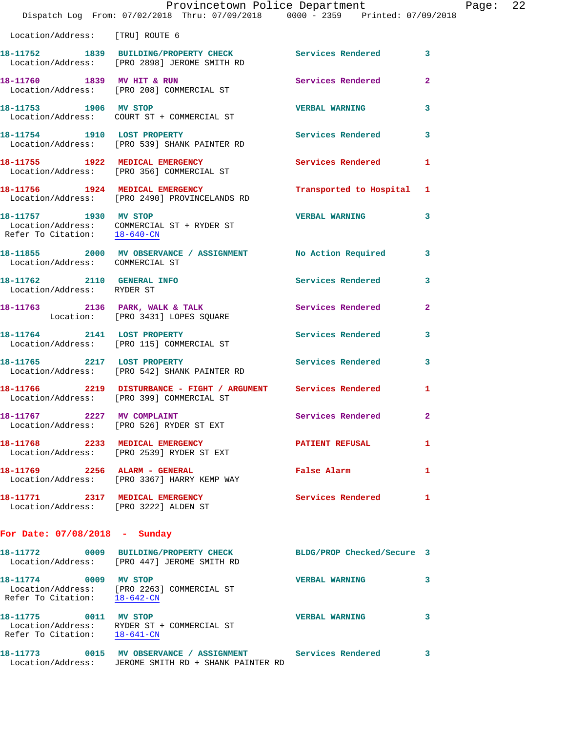|                                       | Dispatch Log From: 07/02/2018 Thru: 07/09/2018 0000 - 2359 Printed: 07/09/2018                                     | Provincetown Police Department |                | Page: | 22 |
|---------------------------------------|--------------------------------------------------------------------------------------------------------------------|--------------------------------|----------------|-------|----|
| Location/Address: [TRU] ROUTE 6       |                                                                                                                    |                                |                |       |    |
|                                       | 18-11752 1839 BUILDING/PROPERTY CHECK Services Rendered 3<br>Location/Address: [PRO 2898] JEROME SMITH RD          |                                |                |       |    |
|                                       | 18-11760 1839 MV HIT & RUN<br>Location/Address: [PRO 208] COMMERCIAL ST                                            | Services Rendered              | $\overline{2}$ |       |    |
| 18-11753 1906 MV STOP                 | Location/Address: COURT ST + COMMERCIAL ST                                                                         | <b>VERBAL WARNING</b>          | $\mathbf{3}$   |       |    |
|                                       | 18-11754 1910 LOST PROPERTY<br>Location/Address: [PRO 539] SHANK PAINTER RD                                        | Services Rendered 3            |                |       |    |
|                                       | 18-11755 1922 MEDICAL EMERGENCY<br>Location/Address: [PRO 356] COMMERCIAL ST                                       | <b>Services Rendered</b>       | $\mathbf{1}$   |       |    |
|                                       | 18-11756 1924 MEDICAL EMERGENCY<br>Location/Address: [PRO 2490] PROVINCELANDS RD                                   | Transported to Hospital 1      |                |       |    |
| 18-11757 1930 MV STOP                 | Location/Address: COMMERCIAL ST + RYDER ST<br>Refer To Citation: $\frac{18-640\text{--CN}}{}$                      | <b>VERBAL WARNING</b>          | 3              |       |    |
| Location/Address: COMMERCIAL ST       | 18-11855 2000 MV OBSERVANCE / ASSIGNMENT No Action Required 3                                                      |                                |                |       |    |
| Location/Address: RYDER ST            | 18-11762 2110 GENERAL INFO                                                                                         | Services Rendered              | 3              |       |    |
|                                       | 18-11763 2136 PARK, WALK & TALK Services Rendered<br>Location: [PRO 3431] LOPES SQUARE                             |                                | $\mathbf{2}$   |       |    |
|                                       | 18-11764 2141 LOST PROPERTY<br>Location/Address: [PRO 115] COMMERCIAL ST                                           | Services Rendered              | 3              |       |    |
| 18-11765 2217 LOST PROPERTY           | Location/Address: [PRO 542] SHANK PAINTER RD                                                                       | Services Rendered              | $\mathbf{3}$   |       |    |
|                                       | 18-11766 2219 DISTURBANCE - FIGHT / ARGUMENT Services Rendered 1 Location/Address: [PRO 399] COMMERCIAL ST         |                                |                |       |    |
|                                       | 18-11767 2227 MV COMPLAINT<br>Location/Address: [PRO 526] RYDER ST EXT                                             | Services Rendered              |                |       |    |
|                                       | 18-11768 2233 MEDICAL EMERGENCY<br>Location/Address: [PRO 2539] RYDER ST EXT                                       | <b>PATIENT REFUSAL</b>         | 1              |       |    |
|                                       | 18-11769 2256 ALARM - GENERAL<br>Location/Address: [PRO 3367] HARRY KEMP WAY                                       | False Alarm                    | 1              |       |    |
| Location/Address: [PRO 3222] ALDEN ST | 18-11771 2317 MEDICAL EMERGENCY                                                                                    | Services Rendered              | 1              |       |    |
| For Date: $07/08/2018$ - Sunday       |                                                                                                                    |                                |                |       |    |
|                                       | 18-11772 0009 BUILDING/PROPERTY CHECK BLDG/PROP Checked/Secure 3<br>Location/Address: [PRO 447] JEROME SMITH RD    |                                |                |       |    |
| 18-11774 0009 MV STOP                 | Location/Address: [PRO 2263] COMMERCIAL ST<br>Refer To Citation: 18-642-CN                                         | <b>VERBAL WARNING</b>          | 3              |       |    |
| Refer To Citation: 18-641-CN          | 18-11775   0011   MV STOP<br>Location/Address:   RYDER ST + COMMERCIAL ST                                          | <b>VERBAL WARNING</b>          | 3              |       |    |
|                                       | 18-11773 0015 MV OBSERVANCE / ASSIGNMENT Services Rendered<br>Location/Address: JEROME SMITH RD + SHANK PAINTER RD |                                | 3              |       |    |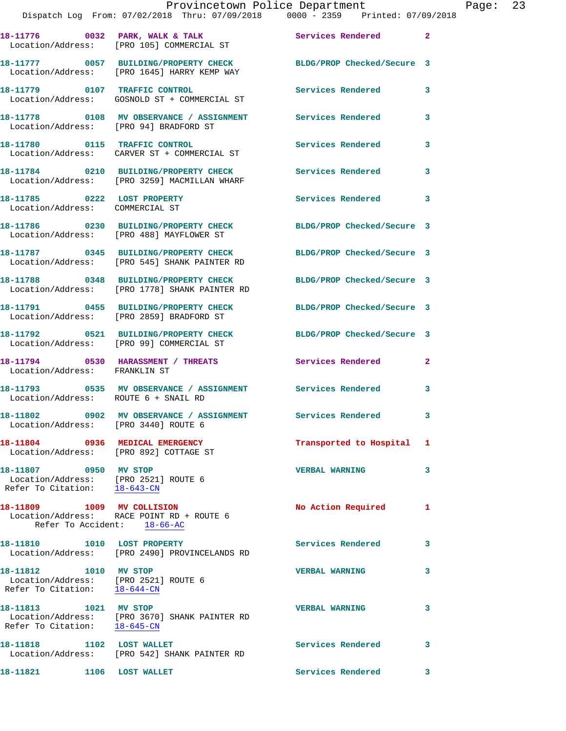|                                                                                               | Provincetown Police Department<br>Dispatch Log From: 07/02/2018 Thru: 07/09/2018 0000 - 2359 Printed: 07/09/2018      |                            |                |
|-----------------------------------------------------------------------------------------------|-----------------------------------------------------------------------------------------------------------------------|----------------------------|----------------|
|                                                                                               | 18-11776 0032 PARK, WALK & TALK 1988 Services Rendered<br>Location/Address: [PRO 105] COMMERCIAL ST                   |                            | $\overline{2}$ |
|                                                                                               | 18-11777   0057   BUILDING/PROPERTY CHECK   BLDG/PROP Checked/Secure 3<br>Location/Address: [PRO 1645] HARRY KEMP WAY |                            |                |
|                                                                                               | 18-11779 0107 TRAFFIC CONTROL<br>Location/Address: GOSNOLD ST + COMMERCIAL ST                                         | Services Rendered          | 3              |
| Location/Address: [PRO 94] BRADFORD ST                                                        | 18-11778 0108 MV OBSERVANCE / ASSIGNMENT Services Rendered                                                            |                            | 3              |
|                                                                                               | 18-11780 0115 TRAFFIC CONTROL<br>Location/Address: CARVER ST + COMMERCIAL ST                                          | <b>Services Rendered</b>   | 3              |
|                                                                                               | 18-11784 0210 BUILDING/PROPERTY CHECK Services Rendered<br>Location/Address: [PRO 3259] MACMILLAN WHARF               |                            | 3              |
| 18-11785 0222 LOST PROPERTY<br>Location/Address: COMMERCIAL ST                                |                                                                                                                       | <b>Services Rendered</b>   | 3              |
|                                                                                               | 18-11786 0230 BUILDING/PROPERTY CHECK BLDG/PROP Checked/Secure 3<br>Location/Address: [PRO 488] MAYFLOWER ST          |                            |                |
|                                                                                               | 18-11787 0345 BUILDING/PROPERTY CHECK BLDG/PROP Checked/Secure 3<br>Location/Address: [PRO 545] SHANK PAINTER RD      |                            |                |
|                                                                                               | 18-11788 0348 BUILDING/PROPERTY CHECK BLDG/PROP Checked/Secure 3<br>Location/Address: [PRO 1778] SHANK PAINTER RD     |                            |                |
|                                                                                               | 18-11791 0455 BUILDING/PROPERTY CHECK<br>Location/Address: [PRO 2859] BRADFORD ST                                     | BLDG/PROP Checked/Secure 3 |                |
|                                                                                               | 18-11792 0521 BUILDING/PROPERTY CHECK BLDG/PROP Checked/Secure 3<br>Location/Address: [PRO 99] COMMERCIAL ST          |                            |                |
| Location/Address: FRANKLIN ST                                                                 | 18-11794 0530 HARASSMENT / THREATS Services Rendered                                                                  |                            | $\overline{2}$ |
| Location/Address: ROUTE 6 + SNAIL RD                                                          | 18-11793 0535 MV OBSERVANCE / ASSIGNMENT Services Rendered                                                            |                            | 3              |
| Location/Address: [PRO 3440] ROUTE 6                                                          | 18-11802 0902 MV OBSERVANCE / ASSIGNMENT                                                                              | Services Rendered          | 3              |
| 18-11804 0936 MEDICAL EMERGENCY<br>Location/Address: [PRO 892] COTTAGE ST                     |                                                                                                                       | Transported to Hospital    | 1              |
| 18-11807 0950 MV STOP<br>Location/Address: [PRO 2521] ROUTE 6<br>Refer To Citation: 18-643-CN |                                                                                                                       | <b>VERBAL WARNING</b>      | 3              |
| 18-11809 1009 MV COLLISION<br>Refer To Accident: 18-66-AC                                     | Location/Address: RACE POINT RD + ROUTE 6                                                                             | No Action Required         | 1              |
| 18-11810    1010    LOST PROPERTY                                                             | Location/Address: [PRO 2490] PROVINCELANDS RD                                                                         | Services Rendered          | 3              |
| 18-11812 1010 MV STOP<br>Location/Address: [PRO 2521] ROUTE 6<br>Refer To Citation: 18-644-CN |                                                                                                                       | <b>VERBAL WARNING</b>      | 3              |
| 18-11813 1021 MV STOP                                                                         | Location/Address: [PRO 3670] SHANK PAINTER RD<br>Refer To Citation: 18-645-CN                                         | <b>VERBAL WARNING</b>      | 3              |
| 18-11818 1102 LOST WALLET                                                                     | Location/Address: [PRO 542] SHANK PAINTER RD                                                                          | <b>Services Rendered</b>   | 3              |
| 18-11821 1106 LOST WALLET                                                                     |                                                                                                                       | Services Rendered          | 3              |

Page:  $23$ <br>018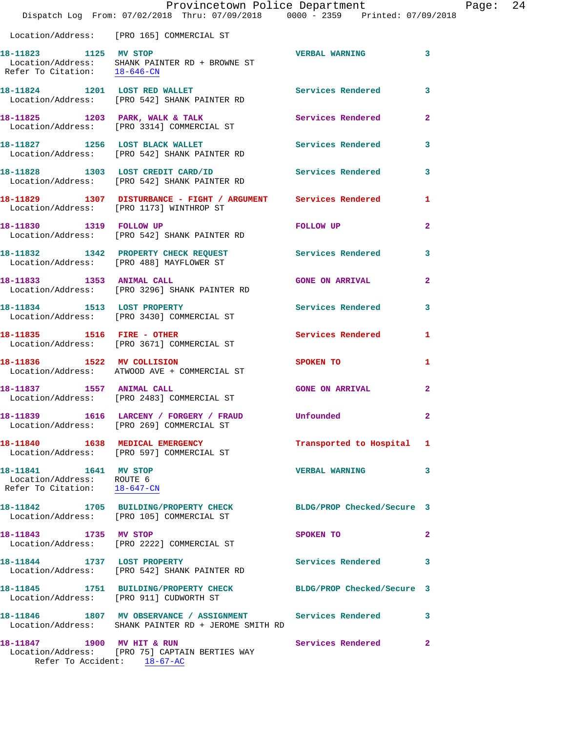|                                                                                    | Provincetown Police Department<br>Dispatch Log From: 07/02/2018 Thru: 07/09/2018 0000 - 2359 Printed: 07/09/2018   |                            |              |
|------------------------------------------------------------------------------------|--------------------------------------------------------------------------------------------------------------------|----------------------------|--------------|
|                                                                                    | Location/Address: [PRO 165] COMMERCIAL ST                                                                          |                            |              |
| 18-11823 1125 MV STOP                                                              | Location/Address: SHANK PAINTER RD + BROWNE ST<br>Refer To Citation: $\frac{18-646-CN}{\pi}$                       | <b>VERBAL WARNING</b>      | 3            |
|                                                                                    | 18-11824 1201 LOST RED WALLET<br>Location/Address: [PRO 542] SHANK PAINTER RD                                      | Services Rendered          | 3            |
|                                                                                    | 18-11825 1203 PARK, WALK & TALK<br>Location/Address: [PRO 3314] COMMERCIAL ST                                      | Services Rendered          | $\mathbf{2}$ |
|                                                                                    | 18-11827 1256 LOST BLACK WALLET<br>Location/Address: [PRO 542] SHANK PAINTER RD                                    | <b>Services Rendered</b>   | 3            |
|                                                                                    | 18-11828 1303 LOST CREDIT CARD/ID<br>Location/Address: [PRO 542] SHANK PAINTER RD                                  | <b>Services Rendered</b>   | 3            |
|                                                                                    | 18-11829 1307 DISTURBANCE - FIGHT / ARGUMENT Services Rendered<br>Location/Address: [PRO 1173] WINTHROP ST         |                            | 1            |
|                                                                                    | 18-11830   1319   FOLLOW UP<br>Location/Address: [PRO 542] SHANK PAINTER RD                                        | <b>FOLLOW UP</b>           | $\mathbf{2}$ |
|                                                                                    | 18-11832 1342 PROPERTY CHECK REQUEST Services Rendered<br>Location/Address: [PRO 488] MAYFLOWER ST                 |                            | 3            |
| 18-11833 1353 ANIMAL CALL                                                          | Location/Address: [PRO 3296] SHANK PAINTER RD                                                                      | <b>GONE ON ARRIVAL</b>     | $\mathbf{2}$ |
| 18-11834 1513 LOST PROPERTY                                                        | Location/Address: [PRO 3430] COMMERCIAL ST                                                                         | <b>Services Rendered</b>   | 3            |
|                                                                                    | 18-11835    1516    FIRE - OTHER<br>Location/Address: [PRO 3671] COMMERCIAL ST                                     | Services Rendered          | 1            |
| 18-11836 1522 MV COLLISION                                                         | Location/Address: ATWOOD AVE + COMMERCIAL ST                                                                       | SPOKEN TO                  | 1            |
| 18-11837   1557   ANIMAL CALL                                                      | Location/Address: [PRO 2483] COMMERCIAL ST                                                                         | <b>GONE ON ARRIVAL</b>     | $\mathbf{2}$ |
|                                                                                    | 18-11839 1616 LARCENY / FORGERY / FRAUD<br>Location/Address: [PRO 269] COMMERCIAL ST                               | Unfounded                  |              |
|                                                                                    | 18-11840 1638 MEDICAL EMERGENCY<br>Location/Address: [PRO 597] COMMERCIAL ST                                       | Transported to Hospital    | 1            |
| 18-11841 1641 MV STOP<br>Location/Address: ROUTE 6<br>Refer To Citation: 18-647-CN |                                                                                                                    | <b>VERBAL WARNING</b>      | 3            |
|                                                                                    | 18-11842 1705 BUILDING/PROPERTY CHECK<br>Location/Address: [PRO 105] COMMERCIAL ST                                 | BLDG/PROP Checked/Secure 3 |              |
| 18-11843 1735 MV STOP                                                              | Location/Address: [PRO 2222] COMMERCIAL ST                                                                         | SPOKEN TO                  | $\mathbf{2}$ |
|                                                                                    | 18-11844 1737 LOST PROPERTY<br>Location/Address: [PRO 542] SHANK PAINTER RD                                        | Services Rendered          | 3            |
|                                                                                    | 18-11845 1751 BUILDING/PROPERTY CHECK BLDG/PROP Checked/Secure 3<br>Location/Address: [PRO 911] CUDWORTH ST        |                            |              |
|                                                                                    | 18-11846 1807 MV OBSERVANCE / ASSIGNMENT Services Rendered<br>Location/Address: SHANK PAINTER RD + JEROME SMITH RD |                            | 3            |
| 18-11847 1900 MV HIT & RUN                                                         | Location/Address: [PRO 75] CAPTAIN BERTIES WAY                                                                     | Services Rendered          | $\mathbf{2}$ |

Refer To Accident: 18-67-AC

Page:  $24$ <sub>18</sub>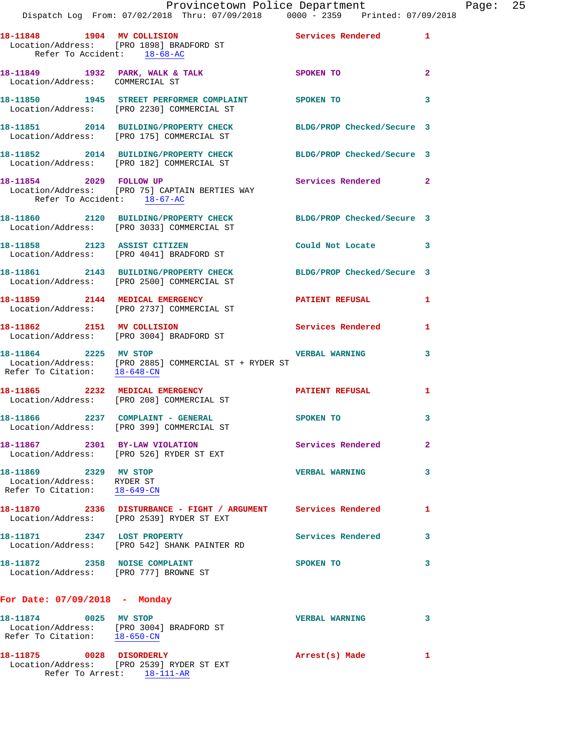|                                                                                     | Provincetown Police Department<br>Dispatch Log From: 07/02/2018 Thru: 07/09/2018 0000 - 2359 Printed: 07/09/2018  |                            |                         |
|-------------------------------------------------------------------------------------|-------------------------------------------------------------------------------------------------------------------|----------------------------|-------------------------|
|                                                                                     | 18-11848 1904 MV COLLISION<br>Location/Address: [PRO 1898] BRADFORD ST<br>Refer To Accident: 18-68-AC             | Services Rendered          | 1                       |
| Location/Address: COMMERCIAL ST                                                     | 18-11849 1932 PARK, WALK & TALK 3POKEN TO                                                                         |                            | $\overline{\mathbf{2}}$ |
|                                                                                     | 18-11850 1945 STREET PERFORMER COMPLAINT SPOKEN TO<br>Location/Address: [PRO 2230] COMMERCIAL ST                  |                            | 3                       |
|                                                                                     | 18-11851 2014 BUILDING/PROPERTY CHECK BLDG/PROP Checked/Secure 3<br>Location/Address: [PRO 175] COMMERCIAL ST     |                            |                         |
|                                                                                     | 18-11852 2014 BUILDING/PROPERTY CHECK BLDG/PROP Checked/Secure 3<br>Location/Address: [PRO 182] COMMERCIAL ST     |                            |                         |
| 18-11854 2029 FOLLOW UP                                                             | Location/Address: [PRO 75] CAPTAIN BERTIES WAY<br>Refer To Accident: 18-67-AC                                     | <b>Services Rendered</b>   | $\mathbf{2}$            |
|                                                                                     | 18-11860 2120 BUILDING/PROPERTY CHECK BLDG/PROP Checked/Secure 3<br>Location/Address: [PRO 3033] COMMERCIAL ST    |                            |                         |
|                                                                                     | 18-11858 2123 ASSIST CITIZEN<br>Location/Address: [PRO 4041] BRADFORD ST                                          | Could Not Locate           | 3                       |
|                                                                                     | 18-11861 2143 BUILDING/PROPERTY CHECK<br>Location/Address: [PRO 2500] COMMERCIAL ST                               | BLDG/PROP Checked/Secure 3 |                         |
|                                                                                     | 18-11859 2144 MEDICAL EMERGENCY<br>Location/Address: [PRO 2737] COMMERCIAL ST                                     | <b>PATIENT REFUSAL</b>     | 1                       |
|                                                                                     | 18-11862 2151 MV COLLISION<br>Location/Address: [PRO 3004] BRADFORD ST                                            | <b>Services Rendered</b>   | 1                       |
|                                                                                     | 18-11864 2225 MV STOP<br>Location/Address: [PRO 2885] COMMERCIAL ST + RYDER ST<br>Refer To Citation: $18-648$ -CN | <b>VERBAL WARNING</b>      | 3                       |
|                                                                                     | 18-11865 2232 MEDICAL EMERGENCY<br>Location/Address: [PRO 208] COMMERCIAL ST                                      | PATIENT REFUSAL            | 1                       |
|                                                                                     | 18-11866  2237  COMPLAINT - GENERAL<br>Location/Address: [PRO 399] COMMERCIAL ST                                  | <b>SPOKEN TO</b>           | з                       |
|                                                                                     | 18-11867 2301 BY-LAW VIOLATION<br>Location/Address: [PRO 526] RYDER ST EXT                                        | Services Rendered          | $\overline{\mathbf{2}}$ |
| 18-11869 2329 MV STOP<br>Location/Address: RYDER ST<br>Refer To Citation: 18-649-CN |                                                                                                                   | <b>VERBAL WARNING</b>      | 3                       |
|                                                                                     | 18-11870 2336 DISTURBANCE - FIGHT / ARGUMENT Services Rendered<br>Location/Address: [PRO 2539] RYDER ST EXT       |                            | 1                       |
| 18-11871 2347 LOST PROPERTY                                                         | Location/Address: [PRO 542] SHANK PAINTER RD                                                                      | Services Rendered          | 3                       |
| 18-11872 2358 NOISE COMPLAINT                                                       | Location/Address: [PRO 777] BROWNE ST                                                                             | SPOKEN TO                  | 3                       |
| For Date: $07/09/2018$ - Monday                                                     |                                                                                                                   |                            |                         |
| 18-11874 0025 MV STOP<br>Refer To Citation: 18-650-CN                               | Location/Address: [PRO 3004] BRADFORD ST                                                                          | <b>VERBAL WARNING</b>      | 3                       |
| 18-11875 0028 DISORDERLY                                                            |                                                                                                                   | Arrest(s) Made             | $\mathbf{1}$            |

Location/Address: [PRO 2539] RYDER ST EXT

Refer To Arrest: 18-111-AR

Page: 25